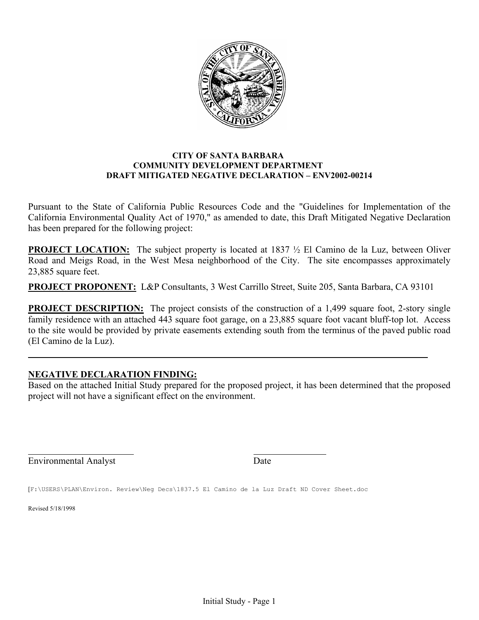

#### **CITY OF SANTA BARBARA COMMUNITY DEVELOPMENT DEPARTMENT DRAFT MITIGATED NEGATIVE DECLARATION – ENV2002-00214**

Pursuant to the State of California Public Resources Code and the "Guidelines for Implementation of the California Environmental Quality Act of 1970," as amended to date, this Draft Mitigated Negative Declaration has been prepared for the following project:

**PROJECT LOCATION:** The subject property is located at 1837  $\frac{1}{2}$  El Camino de la Luz, between Oliver Road and Meigs Road, in the West Mesa neighborhood of the City. The site encompasses approximately 23,885 square feet.

**PROJECT PROPONENT:** L&P Consultants, 3 West Carrillo Street, Suite 205, Santa Barbara, CA 93101

**PROJECT DESCRIPTION:** The project consists of the construction of a 1,499 square foot, 2-story single family residence with an attached 443 square foot garage, on a 23,885 square foot vacant bluff-top lot. Access to the site would be provided by private easements extending south from the terminus of the paved public road (El Camino de la Luz).

## **NEGATIVE DECLARATION FINDING:**

Based on the attached Initial Study prepared for the proposed project, it has been determined that the proposed project will not have a significant effect on the environment.

Environmental Analyst Date

[F:\USERS\PLAN\Environ. Review\Neg Decs\1837.5 El Camino de la Luz Draft ND Cover Sheet.doc

Revised 5/18/1998

l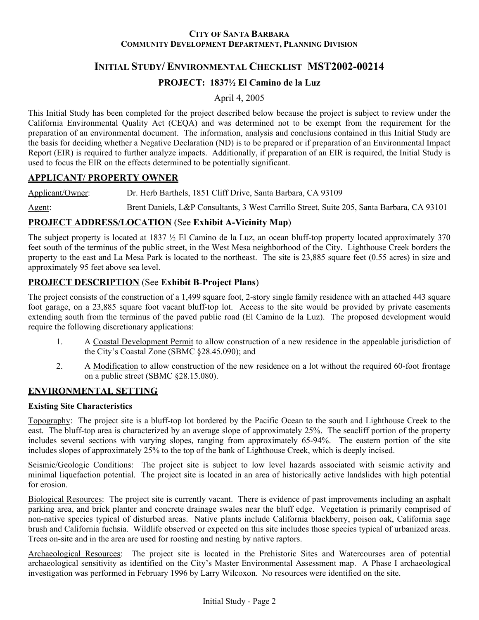#### **CITY OF SANTA BARBARA COMMUNITY DEVELOPMENT DEPARTMENT, PLANNING DIVISION**

# **INITIAL STUDY/ ENVIRONMENTAL CHECKLIST MST2002-00214**

## **PROJECT: 1837½ El Camino de la Luz**

April 4, 2005

This Initial Study has been completed for the project described below because the project is subject to review under the California Environmental Quality Act (CEQA) and was determined not to be exempt from the requirement for the preparation of an environmental document. The information, analysis and conclusions contained in this Initial Study are the basis for deciding whether a Negative Declaration (ND) is to be prepared or if preparation of an Environmental Impact Report (EIR) is required to further analyze impacts. Additionally, if preparation of an EIR is required, the Initial Study is used to focus the EIR on the effects determined to be potentially significant.

## **APPLICANT/ PROPERTY OWNER**

Applicant/Owner: Dr. Herb Barthels, 1851 Cliff Drive, Santa Barbara, CA 93109

Agent: Brent Daniels, L&P Consultants, 3 West Carrillo Street, Suite 205, Santa Barbara, CA 93101

## **PROJECT ADDRESS/LOCATION** (See **Exhibit A-Vicinity Map**)

The subject property is located at 1837  $\frac{1}{2}$  El Camino de la Luz, an ocean bluff-top property located approximately 370 feet south of the terminus of the public street, in the West Mesa neighborhood of the City. Lighthouse Creek borders the property to the east and La Mesa Park is located to the northeast. The site is 23,885 square feet (0.55 acres) in size and approximately 95 feet above sea level.

## **PROJECT DESCRIPTION** (See **Exhibit B**-**Project Plans**)

The project consists of the construction of a 1,499 square foot, 2-story single family residence with an attached 443 square foot garage, on a 23,885 square foot vacant bluff-top lot. Access to the site would be provided by private easements extending south from the terminus of the paved public road (El Camino de la Luz). The proposed development would require the following discretionary applications:

- 1. A Coastal Development Permit to allow construction of a new residence in the appealable jurisdiction of the City's Coastal Zone (SBMC §28.45.090); and
- 2. A Modification to allow construction of the new residence on a lot without the required 60-foot frontage on a public street (SBMC §28.15.080).

## **ENVIRONMENTAL SETTING**

#### **Existing Site Characteristics**

Topography: The project site is a bluff-top lot bordered by the Pacific Ocean to the south and Lighthouse Creek to the east. The bluff-top area is characterized by an average slope of approximately 25%. The seacliff portion of the property includes several sections with varying slopes, ranging from approximately 65-94%. The eastern portion of the site includes slopes of approximately 25% to the top of the bank of Lighthouse Creek, which is deeply incised.

Seismic/Geologic Conditions: The project site is subject to low level hazards associated with seismic activity and minimal liquefaction potential. The project site is located in an area of historically active landslides with high potential for erosion.

Biological Resources: The project site is currently vacant. There is evidence of past improvements including an asphalt parking area, and brick planter and concrete drainage swales near the bluff edge. Vegetation is primarily comprised of non-native species typical of disturbed areas. Native plants include California blackberry, poison oak, California sage brush and California fuchsia. Wildlife observed or expected on this site includes those species typical of urbanized areas. Trees on-site and in the area are used for roosting and nesting by native raptors.

Archaeological Resources: The project site is located in the Prehistoric Sites and Watercourses area of potential archaeological sensitivity as identified on the City's Master Environmental Assessment map. A Phase I archaeological investigation was performed in February 1996 by Larry Wilcoxon. No resources were identified on the site.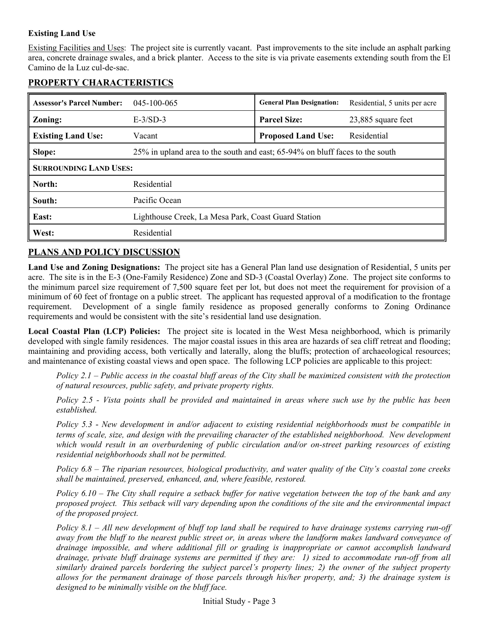### **Existing Land Use**

Existing Facilities and Uses: The project site is currently vacant. Past improvements to the site include an asphalt parking area, concrete drainage swales, and a brick planter. Access to the site is via private easements extending south from the El Camino de la Luz cul-de-sac.

# **PROPERTY CHARACTERISTICS**

| <b>Assessor's Parcel Number:</b> | 045-100-065                                                                  | <b>General Plan Designation:</b> | Residential, 5 units per acre |  |  |  |
|----------------------------------|------------------------------------------------------------------------------|----------------------------------|-------------------------------|--|--|--|
| <b>Zoning:</b>                   | $E-3/SD-3$                                                                   | <b>Parcel Size:</b>              | 23,885 square feet            |  |  |  |
| <b>Existing Land Use:</b>        | Vacant                                                                       | <b>Proposed Land Use:</b>        | Residential                   |  |  |  |
| Slope:                           | 25% in upland area to the south and east; 65-94% on bluff faces to the south |                                  |                               |  |  |  |
| <b>SURROUNDING LAND USES:</b>    |                                                                              |                                  |                               |  |  |  |
| North:                           | Residential                                                                  |                                  |                               |  |  |  |
| South:                           | Pacific Ocean                                                                |                                  |                               |  |  |  |
| East:                            | Lighthouse Creek, La Mesa Park, Coast Guard Station                          |                                  |                               |  |  |  |
| West:                            | Residential                                                                  |                                  |                               |  |  |  |

# **PLANS AND POLICY DISCUSSION**

**Land Use and Zoning Designations:** The project site has a General Plan land use designation of Residential, 5 units per acre. The site is in the E-3 (One-Family Residence) Zone and SD-3 (Coastal Overlay) Zone. The project site conforms to the minimum parcel size requirement of 7,500 square feet per lot, but does not meet the requirement for provision of a minimum of 60 feet of frontage on a public street. The applicant has requested approval of a modification to the frontage requirement. Development of a single family residence as proposed generally conforms to Zoning Ordinance requirements and would be consistent with the site's residential land use designation.

**Local Coastal Plan (LCP) Policies:** The project site is located in the West Mesa neighborhood, which is primarily developed with single family residences. The major coastal issues in this area are hazards of sea cliff retreat and flooding; maintaining and providing access, both vertically and laterally, along the bluffs; protection of archaeological resources; and maintenance of existing coastal views and open space. The following LCP policies are applicable to this project:

*Policy 2.1 – Public access in the coastal bluff areas of the City shall be maximized consistent with the protection of natural resources, public safety, and private property rights.* 

*Policy 2.5 - Vista points shall be provided and maintained in areas where such use by the public has been established.* 

*Policy 5.3* - *New development in and/or adjacent to existing residential neighborhoods must be compatible in terms of scale, size, and design with the prevailing character of the established neighborhood. New development which would result in an overburdening of public circulation and/or on-street parking resources of existing residential neighborhoods shall not be permitted.* 

*Policy 6.8 – The riparian resources, biological productivity, and water quality of the City's coastal zone creeks shall be maintained, preserved, enhanced, and, where feasible, restored.* 

*Policy 6.10 – The City shall require a setback buffer for native vegetation between the top of the bank and any proposed project. This setback will vary depending upon the conditions of the site and the environmental impact of the proposed project.* 

*Policy 8.1 – All new development of bluff top land shall be required to have drainage systems carrying run-off away from the bluff to the nearest public street or, in areas where the landform makes landward conveyance of drainage impossible, and where additional fill or grading is inappropriate or cannot accomplish landward drainage, private bluff drainage systems are permitted if they are: 1) sized to accommodate run-off from all similarly drained parcels bordering the subject parcel's property lines; 2) the owner of the subject property allows for the permanent drainage of those parcels through his/her property, and; 3) the drainage system is designed to be minimally visible on the bluff face.*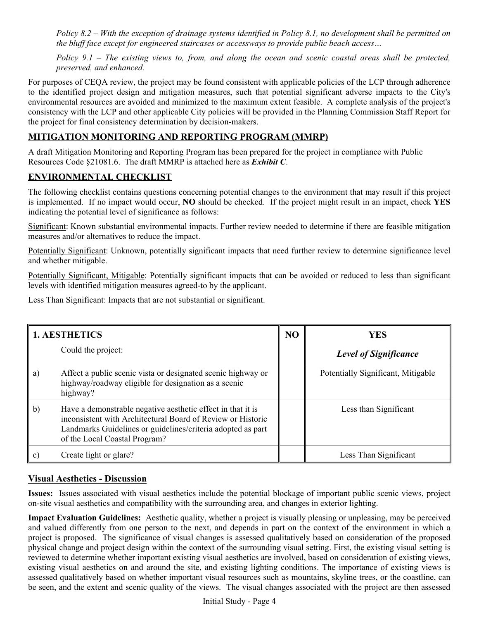*Policy 8.2 – With the exception of drainage systems identified in Policy 8.1, no development shall be permitted on the bluff face except for engineered staircases or accessways to provide public beach access…* 

*Policy 9.1 – The existing views to, from, and along the ocean and scenic coastal areas shall be protected, preserved, and enhanced.* 

For purposes of CEQA review, the project may be found consistent with applicable policies of the LCP through adherence to the identified project design and mitigation measures, such that potential significant adverse impacts to the City's environmental resources are avoided and minimized to the maximum extent feasible. A complete analysis of the project's consistency with the LCP and other applicable City policies will be provided in the Planning Commission Staff Report for the project for final consistency determination by decision-makers.

# **MITIGATION MONITORING AND REPORTING PROGRAM (MMRP)**

A draft Mitigation Monitoring and Reporting Program has been prepared for the project in compliance with Public Resources Code §21081.6. The draft MMRP is attached here as *Exhibit C*.

# **ENVIRONMENTAL CHECKLIST**

The following checklist contains questions concerning potential changes to the environment that may result if this project is implemented. If no impact would occur, **NO** should be checked. If the project might result in an impact, check **YES**  indicating the potential level of significance as follows:

Significant: Known substantial environmental impacts. Further review needed to determine if there are feasible mitigation measures and/or alternatives to reduce the impact.

Potentially Significant: Unknown, potentially significant impacts that need further review to determine significance level and whether mitigable.

Potentially Significant, Mitigable: Potentially significant impacts that can be avoided or reduced to less than significant levels with identified mitigation measures agreed-to by the applicant.

Less Than Significant: Impacts that are not substantial or significant.

|              | <b>1. AESTHETICS</b>                                                                                                                                                                                                       | N <sub>O</sub> | <b>YES</b>                         |
|--------------|----------------------------------------------------------------------------------------------------------------------------------------------------------------------------------------------------------------------------|----------------|------------------------------------|
|              | Could the project:                                                                                                                                                                                                         |                | <b>Level of Significance</b>       |
| a)           | Affect a public scenic vista or designated scenic highway or<br>highway/roadway eligible for designation as a scenic<br>highway?                                                                                           |                | Potentially Significant, Mitigable |
| $\mathbf{b}$ | Have a demonstrable negative aesthetic effect in that it is<br>inconsistent with Architectural Board of Review or Historic<br>Landmarks Guidelines or guidelines/criteria adopted as part<br>of the Local Coastal Program? |                | Less than Significant              |
| C)           | Create light or glare?                                                                                                                                                                                                     |                | Less Than Significant              |

## **Visual Aesthetics - Discussion**

**Issues:** Issues associated with visual aesthetics include the potential blockage of important public scenic views, project on-site visual aesthetics and compatibility with the surrounding area, and changes in exterior lighting.

**Impact Evaluation Guidelines:** Aesthetic quality, whether a project is visually pleasing or unpleasing, may be perceived and valued differently from one person to the next, and depends in part on the context of the environment in which a project is proposed. The significance of visual changes is assessed qualitatively based on consideration of the proposed physical change and project design within the context of the surrounding visual setting. First, the existing visual setting is reviewed to determine whether important existing visual aesthetics are involved, based on consideration of existing views, existing visual aesthetics on and around the site, and existing lighting conditions. The importance of existing views is assessed qualitatively based on whether important visual resources such as mountains, skyline trees, or the coastline, can be seen, and the extent and scenic quality of the views. The visual changes associated with the project are then assessed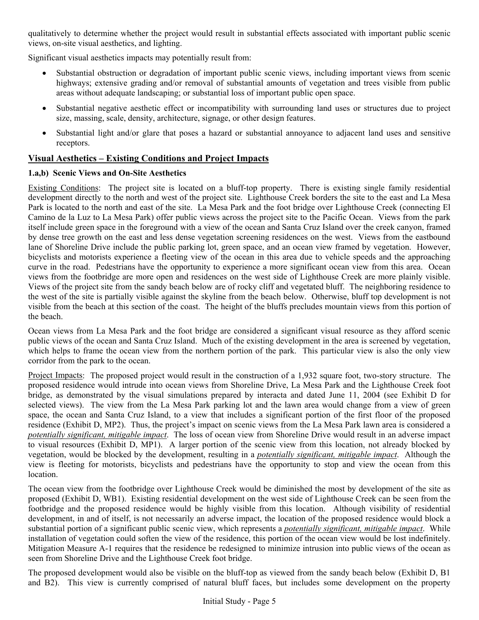qualitatively to determine whether the project would result in substantial effects associated with important public scenic views, on-site visual aesthetics, and lighting.

Significant visual aesthetics impacts may potentially result from:

- Substantial obstruction or degradation of important public scenic views, including important views from scenic highways; extensive grading and/or removal of substantial amounts of vegetation and trees visible from public areas without adequate landscaping; or substantial loss of important public open space.
- Substantial negative aesthetic effect or incompatibility with surrounding land uses or structures due to project size, massing, scale, density, architecture, signage, or other design features.
- Substantial light and/or glare that poses a hazard or substantial annoyance to adjacent land uses and sensitive receptors.

## **Visual Aesthetics – Existing Conditions and Project Impacts**

#### **1.a,b) Scenic Views and On-Site Aesthetics**

Existing Conditions: The project site is located on a bluff-top property. There is existing single family residential development directly to the north and west of the project site. Lighthouse Creek borders the site to the east and La Mesa Park is located to the north and east of the site. La Mesa Park and the foot bridge over Lighthouse Creek (connecting El Camino de la Luz to La Mesa Park) offer public views across the project site to the Pacific Ocean. Views from the park itself include green space in the foreground with a view of the ocean and Santa Cruz Island over the creek canyon, framed by dense tree growth on the east and less dense vegetation screening residences on the west. Views from the eastbound lane of Shoreline Drive include the public parking lot, green space, and an ocean view framed by vegetation. However, bicyclists and motorists experience a fleeting view of the ocean in this area due to vehicle speeds and the approaching curve in the road. Pedestrians have the opportunity to experience a more significant ocean view from this area. Ocean views from the footbridge are more open and residences on the west side of Lighthouse Creek are more plainly visible. Views of the project site from the sandy beach below are of rocky cliff and vegetated bluff. The neighboring residence to the west of the site is partially visible against the skyline from the beach below. Otherwise, bluff top development is not visible from the beach at this section of the coast. The height of the bluffs precludes mountain views from this portion of the beach.

Ocean views from La Mesa Park and the foot bridge are considered a significant visual resource as they afford scenic public views of the ocean and Santa Cruz Island. Much of the existing development in the area is screened by vegetation, which helps to frame the ocean view from the northern portion of the park. This particular view is also the only view corridor from the park to the ocean.

Project Impacts: The proposed project would result in the construction of a 1,932 square foot, two-story structure. The proposed residence would intrude into ocean views from Shoreline Drive, La Mesa Park and the Lighthouse Creek foot bridge, as demonstrated by the visual simulations prepared by interacta and dated June 11, 2004 (see Exhibit D for selected views). The view from the La Mesa Park parking lot and the lawn area would change from a view of green space, the ocean and Santa Cruz Island, to a view that includes a significant portion of the first floor of the proposed residence (Exhibit D, MP2). Thus, the project's impact on scenic views from the La Mesa Park lawn area is considered a *potentially significant, mitigable impact*. The loss of ocean view from Shoreline Drive would result in an adverse impact to visual resources (Exhibit D, MP1). A larger portion of the scenic view from this location, not already blocked by vegetation, would be blocked by the development, resulting in a *potentially significant, mitigable impact*. Although the view is fleeting for motorists, bicyclists and pedestrians have the opportunity to stop and view the ocean from this location.

The ocean view from the footbridge over Lighthouse Creek would be diminished the most by development of the site as proposed (Exhibit D, WB1). Existing residential development on the west side of Lighthouse Creek can be seen from the footbridge and the proposed residence would be highly visible from this location. Although visibility of residential development, in and of itself, is not necessarily an adverse impact, the location of the proposed residence would block a substantial portion of a significant public scenic view, which represents a *potentially significant, mitigable impact*. While installation of vegetation could soften the view of the residence, this portion of the ocean view would be lost indefinitely. Mitigation Measure A-1 requires that the residence be redesigned to minimize intrusion into public views of the ocean as seen from Shoreline Drive and the Lighthouse Creek foot bridge.

The proposed development would also be visible on the bluff-top as viewed from the sandy beach below (Exhibit D, B1 and B2). This view is currently comprised of natural bluff faces, but includes some development on the property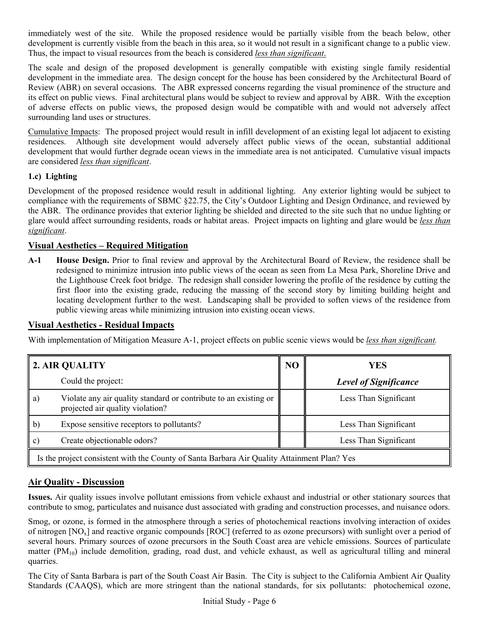immediately west of the site. While the proposed residence would be partially visible from the beach below, other development is currently visible from the beach in this area, so it would not result in a significant change to a public view. Thus, the impact to visual resources from the beach is considered *less than significant*.

The scale and design of the proposed development is generally compatible with existing single family residential development in the immediate area. The design concept for the house has been considered by the Architectural Board of Review (ABR) on several occasions. The ABR expressed concerns regarding the visual prominence of the structure and its effect on public views. Final architectural plans would be subject to review and approval by ABR. With the exception of adverse effects on public views, the proposed design would be compatible with and would not adversely affect surrounding land uses or structures.

Cumulative Impacts: The proposed project would result in infill development of an existing legal lot adjacent to existing residences. Although site development would adversely affect public views of the ocean, substantial additional development that would further degrade ocean views in the immediate area is not anticipated. Cumulative visual impacts are considered *less than significant*.

### **1.c) Lighting**

Development of the proposed residence would result in additional lighting. Any exterior lighting would be subject to compliance with the requirements of SBMC §22.75, the City's Outdoor Lighting and Design Ordinance, and reviewed by the ABR. The ordinance provides that exterior lighting be shielded and directed to the site such that no undue lighting or glare would affect surrounding residents, roads or habitat areas. Project impacts on lighting and glare would be *less than significant*.

### **Visual Aesthetics – Required Mitigation**

**A-1 House Design.** Prior to final review and approval by the Architectural Board of Review, the residence shall be redesigned to minimize intrusion into public views of the ocean as seen from La Mesa Park, Shoreline Drive and the Lighthouse Creek foot bridge. The redesign shall consider lowering the profile of the residence by cutting the first floor into the existing grade, reducing the massing of the second story by limiting building height and locating development further to the west. Landscaping shall be provided to soften views of the residence from public viewing areas while minimizing intrusion into existing ocean views.

### **Visual Aesthetics - Residual Impacts**

With implementation of Mitigation Measure A-1, project effects on public scenic views would be *less than significant.*

|                                                                                             | 2. AIR QUALITY                                                                                       | N <sub>O</sub> | <b>YES</b>                   |
|---------------------------------------------------------------------------------------------|------------------------------------------------------------------------------------------------------|----------------|------------------------------|
|                                                                                             | Could the project:                                                                                   |                | <b>Level of Significance</b> |
| a)                                                                                          | Violate any air quality standard or contribute to an existing or<br>projected air quality violation? |                | Less Than Significant        |
| $\mathbf{b}$                                                                                | Expose sensitive receptors to pollutants?                                                            |                | Less Than Significant        |
| $\vert c \rangle$                                                                           | Create objectionable odors?                                                                          |                | Less Than Significant        |
| Is the project consistent with the County of Santa Barbara Air Quality Attainment Plan? Yes |                                                                                                      |                |                              |

## **Air Quality - Discussion**

**Issues.** Air quality issues involve pollutant emissions from vehicle exhaust and industrial or other stationary sources that contribute to smog, particulates and nuisance dust associated with grading and construction processes, and nuisance odors.

Smog, or ozone, is formed in the atmosphere through a series of photochemical reactions involving interaction of oxides of nitrogen  $[NO<sub>x</sub>]$  and reactive organic compounds  $[ROC]$  (referred to as ozone precursors) with sunlight over a period of several hours. Primary sources of ozone precursors in the South Coast area are vehicle emissions. Sources of particulate matter  $(PM_{10})$  include demolition, grading, road dust, and vehicle exhaust, as well as agricultural tilling and mineral quarries.

The City of Santa Barbara is part of the South Coast Air Basin. The City is subject to the California Ambient Air Quality Standards (CAAQS), which are more stringent than the national standards, for six pollutants: photochemical ozone,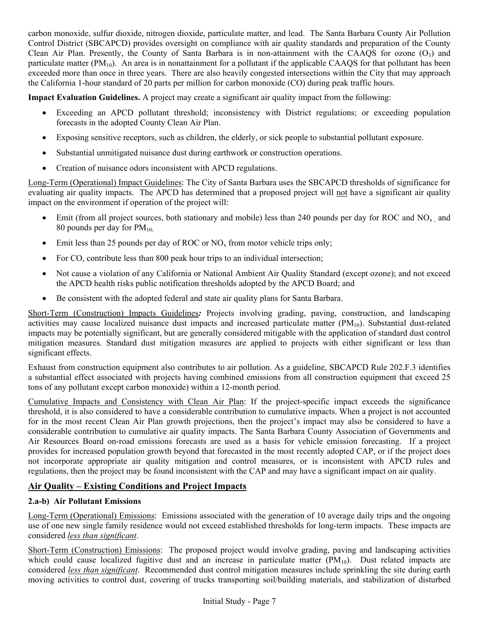carbon monoxide, sulfur dioxide, nitrogen dioxide, particulate matter, and lead. The Santa Barbara County Air Pollution Control District (SBCAPCD) provides oversight on compliance with air quality standards and preparation of the County Clean Air Plan. Presently, the County of Santa Barbara is in non-attainment with the CAAOS for ozone  $(O_3)$  and particulate matter  $(PM_{10})$ . An area is in nonattainment for a pollutant if the applicable CAAQS for that pollutant has been exceeded more than once in three years. There are also heavily congested intersections within the City that may approach the California 1-hour standard of 20 parts per million for carbon monoxide (CO) during peak traffic hours.

**Impact Evaluation Guidelines.** A project may create a significant air quality impact from the following:

- Exceeding an APCD pollutant threshold; inconsistency with District regulations; or exceeding population forecasts in the adopted County Clean Air Plan.
- Exposing sensitive receptors, such as children, the elderly, or sick people to substantial pollutant exposure.
- Substantial unmitigated nuisance dust during earthwork or construction operations.
- Creation of nuisance odors inconsistent with APCD regulations.

Long-Term (Operational) Impact Guidelines: The City of Santa Barbara uses the SBCAPCD thresholds of significance for evaluating air quality impacts. The APCD has determined that a proposed project will not have a significant air quality impact on the environment if operation of the project will:

- Emit (from all project sources, both stationary and mobile) less than 240 pounds per day for ROC and  $NO_{x}$ , and 80 pounds per day for  $PM_{10}$ ;
- Emit less than 25 pounds per day of ROC or  $NO<sub>x</sub>$  from motor vehicle trips only;
- For CO, contribute less than 800 peak hour trips to an individual intersection;
- Not cause a violation of any California or National Ambient Air Quality Standard (except ozone); and not exceed the APCD health risks public notification thresholds adopted by the APCD Board; and
- Be consistent with the adopted federal and state air quality plans for Santa Barbara.

Short-Term (Construction) Impacts Guidelines*:* Projects involving grading, paving, construction, and landscaping activities may cause localized nuisance dust impacts and increased particulate matter (PM<sub>10</sub>). Substantial dust-related impacts may be potentially significant, but are generally considered mitigable with the application of standard dust control mitigation measures. Standard dust mitigation measures are applied to projects with either significant or less than significant effects.

Exhaust from construction equipment also contributes to air pollution. As a guideline, SBCAPCD Rule 202.F.3 identifies a substantial effect associated with projects having combined emissions from all construction equipment that exceed 25 tons of any pollutant except carbon monoxide) within a 12-month period.

Cumulative Impacts and Consistency with Clean Air Plan: If the project-specific impact exceeds the significance threshold, it is also considered to have a considerable contribution to cumulative impacts. When a project is not accounted for in the most recent Clean Air Plan growth projections, then the project's impact may also be considered to have a considerable contribution to cumulative air quality impacts. The Santa Barbara County Association of Governments and Air Resources Board on-road emissions forecasts are used as a basis for vehicle emission forecasting. If a project provides for increased population growth beyond that forecasted in the most recently adopted CAP, or if the project does not incorporate appropriate air quality mitigation and control measures, or is inconsistent with APCD rules and regulations, then the project may be found inconsistent with the CAP and may have a significant impact on air quality.

# **Air Quality – Existing Conditions and Project Impacts**

## **2.a-b) Air Pollutant Emissions**

Long-Term (Operational) Emissions: Emissions associated with the generation of 10 average daily trips and the ongoing use of one new single family residence would not exceed established thresholds for long-term impacts. These impacts are considered *less than significant*.

Short-Term (Construction) Emissions: The proposed project would involve grading, paving and landscaping activities which could cause localized fugitive dust and an increase in particulate matter  $(PM_{10})$ . Dust related impacts are considered *less than significant*. Recommended dust control mitigation measures include sprinkling the site during earth moving activities to control dust, covering of trucks transporting soil/building materials, and stabilization of disturbed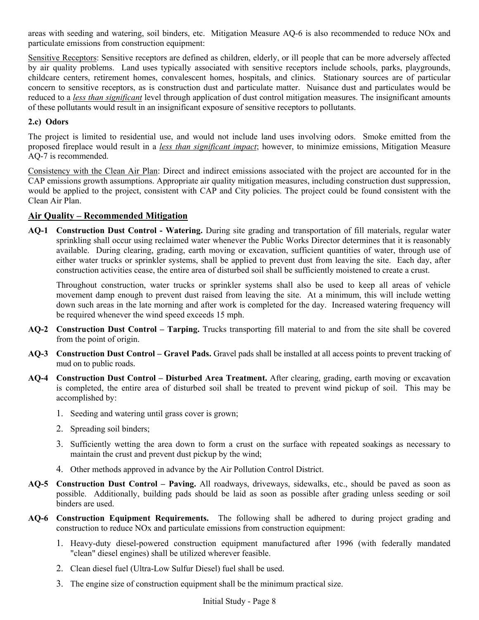areas with seeding and watering, soil binders, etc. Mitigation Measure AQ-6 is also recommended to reduce NOx and particulate emissions from construction equipment:

Sensitive Receptors: Sensitive receptors are defined as children, elderly, or ill people that can be more adversely affected by air quality problems. Land uses typically associated with sensitive receptors include schools, parks, playgrounds, childcare centers, retirement homes, convalescent homes, hospitals, and clinics. Stationary sources are of particular concern to sensitive receptors, as is construction dust and particulate matter. Nuisance dust and particulates would be reduced to a *less than significant* level through application of dust control mitigation measures. The insignificant amounts of these pollutants would result in an insignificant exposure of sensitive receptors to pollutants.

### **2.c) Odors**

The project is limited to residential use, and would not include land uses involving odors. Smoke emitted from the proposed fireplace would result in a *less than significant impact*; however, to minimize emissions, Mitigation Measure AQ-7 is recommended.

Consistency with the Clean Air Plan: Direct and indirect emissions associated with the project are accounted for in the CAP emissions growth assumptions. Appropriate air quality mitigation measures, including construction dust suppression, would be applied to the project, consistent with CAP and City policies. The project could be found consistent with the Clean Air Plan.

### **Air Quality – Recommended Mitigation**

**AQ-1 Construction Dust Control - Watering.** During site grading and transportation of fill materials, regular water sprinkling shall occur using reclaimed water whenever the Public Works Director determines that it is reasonably available. During clearing, grading, earth moving or excavation, sufficient quantities of water, through use of either water trucks or sprinkler systems, shall be applied to prevent dust from leaving the site. Each day, after construction activities cease, the entire area of disturbed soil shall be sufficiently moistened to create a crust.

Throughout construction, water trucks or sprinkler systems shall also be used to keep all areas of vehicle movement damp enough to prevent dust raised from leaving the site. At a minimum, this will include wetting down such areas in the late morning and after work is completed for the day. Increased watering frequency will be required whenever the wind speed exceeds 15 mph.

- **AQ-2 Construction Dust Control Tarping.** Trucks transporting fill material to and from the site shall be covered from the point of origin.
- **AQ-3 Construction Dust Control Gravel Pads.** Gravel pads shall be installed at all access points to prevent tracking of mud on to public roads.
- **AQ-4 Construction Dust Control Disturbed Area Treatment.** After clearing, grading, earth moving or excavation is completed, the entire area of disturbed soil shall be treated to prevent wind pickup of soil. This may be accomplished by:
	- 1. Seeding and watering until grass cover is grown;
	- 2. Spreading soil binders;
	- 3. Sufficiently wetting the area down to form a crust on the surface with repeated soakings as necessary to maintain the crust and prevent dust pickup by the wind;
	- 4. Other methods approved in advance by the Air Pollution Control District.
- **AQ-5 Construction Dust Control Paving.** All roadways, driveways, sidewalks, etc., should be paved as soon as possible. Additionally, building pads should be laid as soon as possible after grading unless seeding or soil binders are used.
- **AQ-6 Construction Equipment Requirements.** The following shall be adhered to during project grading and construction to reduce NOx and particulate emissions from construction equipment:
	- 1. Heavy-duty diesel-powered construction equipment manufactured after 1996 (with federally mandated "clean" diesel engines) shall be utilized wherever feasible.
	- 2. Clean diesel fuel (Ultra-Low Sulfur Diesel) fuel shall be used.
	- 3. The engine size of construction equipment shall be the minimum practical size.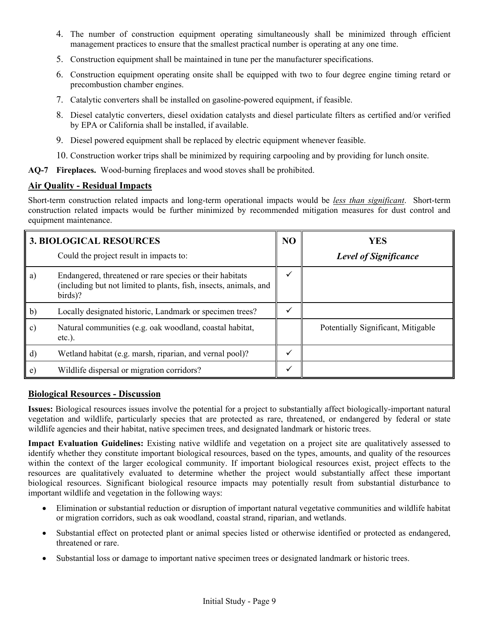- 4. The number of construction equipment operating simultaneously shall be minimized through efficient management practices to ensure that the smallest practical number is operating at any one time.
- 5. Construction equipment shall be maintained in tune per the manufacturer specifications.
- 6. Construction equipment operating onsite shall be equipped with two to four degree engine timing retard or precombustion chamber engines.
- 7. Catalytic converters shall be installed on gasoline-powered equipment, if feasible.
- 8. Diesel catalytic converters, diesel oxidation catalysts and diesel particulate filters as certified and/or verified by EPA or California shall be installed, if available.
- 9. Diesel powered equipment shall be replaced by electric equipment whenever feasible.
- 10. Construction worker trips shall be minimized by requiring carpooling and by providing for lunch onsite.
- **AQ-7 Fireplaces.** Wood-burning fireplaces and wood stoves shall be prohibited.

### **Air Quality - Residual Impacts**

Short-term construction related impacts and long-term operational impacts would be *less than significant*. Short-term construction related impacts would be further minimized by recommended mitigation measures for dust control and equipment maintenance.

|              | <b>3. BIOLOGICAL RESOURCES</b>                                                                                                           | NO | <b>YES</b>                         |
|--------------|------------------------------------------------------------------------------------------------------------------------------------------|----|------------------------------------|
|              | Could the project result in impacts to:                                                                                                  |    | <b>Level of Significance</b>       |
| a)           | Endangered, threatened or rare species or their habitats<br>(including but not limited to plants, fish, insects, animals, and<br>birds)? |    |                                    |
| $\mathbf{b}$ | Locally designated historic, Landmark or specimen trees?                                                                                 |    |                                    |
| c)           | Natural communities (e.g. oak woodland, coastal habitat,<br>$etc.$ ).                                                                    |    | Potentially Significant, Mitigable |
| $\mathbf{d}$ | Wetland habitat (e.g. marsh, riparian, and vernal pool)?                                                                                 |    |                                    |
| e)           | Wildlife dispersal or migration corridors?                                                                                               | ✔  |                                    |

#### **Biological Resources - Discussion**

**Issues:** Biological resources issues involve the potential for a project to substantially affect biologically-important natural vegetation and wildlife, particularly species that are protected as rare, threatened, or endangered by federal or state wildlife agencies and their habitat, native specimen trees, and designated landmark or historic trees.

**Impact Evaluation Guidelines:** Existing native wildlife and vegetation on a project site are qualitatively assessed to identify whether they constitute important biological resources, based on the types, amounts, and quality of the resources within the context of the larger ecological community. If important biological resources exist, project effects to the resources are qualitatively evaluated to determine whether the project would substantially affect these important biological resources. Significant biological resource impacts may potentially result from substantial disturbance to important wildlife and vegetation in the following ways:

- Elimination or substantial reduction or disruption of important natural vegetative communities and wildlife habitat or migration corridors, such as oak woodland, coastal strand, riparian, and wetlands.
- Substantial effect on protected plant or animal species listed or otherwise identified or protected as endangered, threatened or rare.
- Substantial loss or damage to important native specimen trees or designated landmark or historic trees.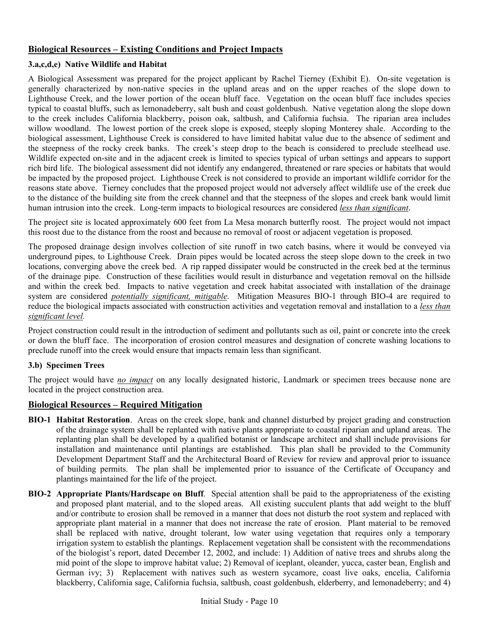## **Biological Resources – Existing Conditions and Project Impacts**

#### **3.a,c,d,e) Native Wildlife and Habitat**

A Biological Assessment was prepared for the project applicant by Rachel Tierney (Exhibit E). On-site vegetation is generally characterized by non-native species in the upland areas and on the upper reaches of the slope down to Lighthouse Creek, and the lower portion of the ocean bluff face. Vegetation on the ocean bluff face includes species typical to coastal bluffs, such as lemonadeberry, salt bush and coast goldenbush. Native vegetation along the slope down to the creek includes California blackberry, poison oak, saltbush, and California fuchsia. The riparian area includes willow woodland. The lowest portion of the creek slope is exposed, steeply sloping Monterey shale. According to the biological assessment, Lighthouse Creek is considered to have limited habitat value due to the absence of sediment and the steepness of the rocky creek banks. The creek's steep drop to the beach is considered to preclude steelhead use. Wildlife expected on-site and in the adjacent creek is limited to species typical of urban settings and appears to support rich bird life. The biological assessment did not identify any endangered, threatened or rare species or habitats that would be impacted by the proposed project. Lighthouse Creek is not considered to provide an important wildlife corridor for the reasons state above. Tierney concludes that the proposed project would not adversely affect wildlife use of the creek due to the distance of the building site from the creek channel and that the steepness of the slopes and creek bank would limit human intrusion into the creek. Long-term impacts to biological resources are considered *less than significant*.

The project site is located approximately 600 feet from La Mesa monarch butterfly roost. The project would not impact this roost due to the distance from the roost and because no removal of roost or adjacent vegetation is proposed.

The proposed drainage design involves collection of site runoff in two catch basins, where it would be conveyed via underground pipes, to Lighthouse Creek. Drain pipes would be located across the steep slope down to the creek in two locations, converging above the creek bed. A rip rapped dissipater would be constructed in the creek bed at the terminus of the drainage pipe. Construction of these facilities would result in disturbance and vegetation removal on the hillside and within the creek bed. Impacts to native vegetation and creek habitat associated with installation of the drainage system are considered *potentially significant, mitigable*. Mitigation Measures BIO-1 through BIO-4 are required to reduce the biological impacts associated with construction activities and vegetation removal and installation to a *less than significant level.*

Project construction could result in the introduction of sediment and pollutants such as oil, paint or concrete into the creek or down the bluff face. The incorporation of erosion control measures and designation of concrete washing locations to preclude runoff into the creek would ensure that impacts remain less than significant.

### **3.b) Specimen Trees**

The project would have *no impact* on any locally designated historic, Landmark or specimen trees because none are located in the project construction area.

### **Biological Resources – Required Mitigation**

- **BIO-1 Habitat Restoration**. Areas on the creek slope, bank and channel disturbed by project grading and construction of the drainage system shall be replanted with native plants appropriate to coastal riparian and upland areas. The replanting plan shall be developed by a qualified botanist or landscape architect and shall include provisions for installation and maintenance until plantings are established. This plan shall be provided to the Community Development Department Staff and the Architectural Board of Review for review and approval prior to issuance of building permits. The plan shall be implemented prior to issuance of the Certificate of Occupancy and plantings maintained for the life of the project.
- **BIO-2 Appropriate Plants/Hardscape on Bluff**. Special attention shall be paid to the appropriateness of the existing and proposed plant material, and to the sloped areas. All existing succulent plants that add weight to the bluff and/or contribute to erosion shall be removed in a manner that does not disturb the root system and replaced with appropriate plant material in a manner that does not increase the rate of erosion. Plant material to be removed shall be replaced with native, drought tolerant, low water using vegetation that requires only a temporary irrigation system to establish the plantings. Replacement vegetation shall be consistent with the recommendations of the biologist's report, dated December 12, 2002, and include: 1) Addition of native trees and shrubs along the mid point of the slope to improve habitat value; 2) Removal of iceplant, oleander, yucca, caster bean, English and German ivy; 3) Replacement with natives such as western sycamore, coast live oaks, encelia, California blackberry, California sage, California fuchsia, saltbush, coast goldenbush, elderberry, and lemonadeberry; and 4)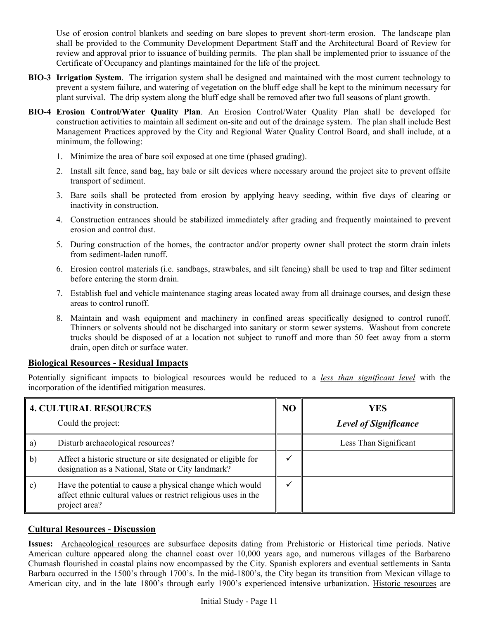Use of erosion control blankets and seeding on bare slopes to prevent short-term erosion. The landscape plan shall be provided to the Community Development Department Staff and the Architectural Board of Review for review and approval prior to issuance of building permits. The plan shall be implemented prior to issuance of the Certificate of Occupancy and plantings maintained for the life of the project.

- **BIO-3 Irrigation System**. The irrigation system shall be designed and maintained with the most current technology to prevent a system failure, and watering of vegetation on the bluff edge shall be kept to the minimum necessary for plant survival. The drip system along the bluff edge shall be removed after two full seasons of plant growth.
- **BIO-4 Erosion Control/Water Quality Plan**. An Erosion Control/Water Quality Plan shall be developed for construction activities to maintain all sediment on-site and out of the drainage system. The plan shall include Best Management Practices approved by the City and Regional Water Quality Control Board, and shall include, at a minimum, the following:
	- 1. Minimize the area of bare soil exposed at one time (phased grading).
	- 2. Install silt fence, sand bag, hay bale or silt devices where necessary around the project site to prevent offsite transport of sediment.
	- 3. Bare soils shall be protected from erosion by applying heavy seeding, within five days of clearing or inactivity in construction.
	- 4. Construction entrances should be stabilized immediately after grading and frequently maintained to prevent erosion and control dust.
	- 5. During construction of the homes, the contractor and/or property owner shall protect the storm drain inlets from sediment-laden runoff.
	- 6. Erosion control materials (i.e. sandbags, strawbales, and silt fencing) shall be used to trap and filter sediment before entering the storm drain.
	- 7. Establish fuel and vehicle maintenance staging areas located away from all drainage courses, and design these areas to control runoff.
	- 8. Maintain and wash equipment and machinery in confined areas specifically designed to control runoff. Thinners or solvents should not be discharged into sanitary or storm sewer systems. Washout from concrete trucks should be disposed of at a location not subject to runoff and more than 50 feet away from a storm drain, open ditch or surface water.

## **Biological Resources - Residual Impacts**

Potentially significant impacts to biological resources would be reduced to a *less than significant level* with the incorporation of the identified mitigation measures.

|    | <b>4. CULTURAL RESOURCES</b>                                                                                                                  | N <sub>O</sub> | <b>YES</b>                   |
|----|-----------------------------------------------------------------------------------------------------------------------------------------------|----------------|------------------------------|
|    | Could the project:                                                                                                                            |                | <b>Level of Significance</b> |
| a) | Disturb archaeological resources?                                                                                                             |                | Less Than Significant        |
| b) | Affect a historic structure or site designated or eligible for<br>designation as a National, State or City landmark?                          |                |                              |
| C) | Have the potential to cause a physical change which would<br>affect ethnic cultural values or restrict religious uses in the<br>project area? |                |                              |

## **Cultural Resources - Discussion**

**Issues:** Archaeological resources are subsurface deposits dating from Prehistoric or Historical time periods. Native American culture appeared along the channel coast over 10,000 years ago, and numerous villages of the Barbareno Chumash flourished in coastal plains now encompassed by the City. Spanish explorers and eventual settlements in Santa Barbara occurred in the 1500's through 1700's. In the mid-1800's, the City began its transition from Mexican village to American city, and in the late 1800's through early 1900's experienced intensive urbanization. Historic resources are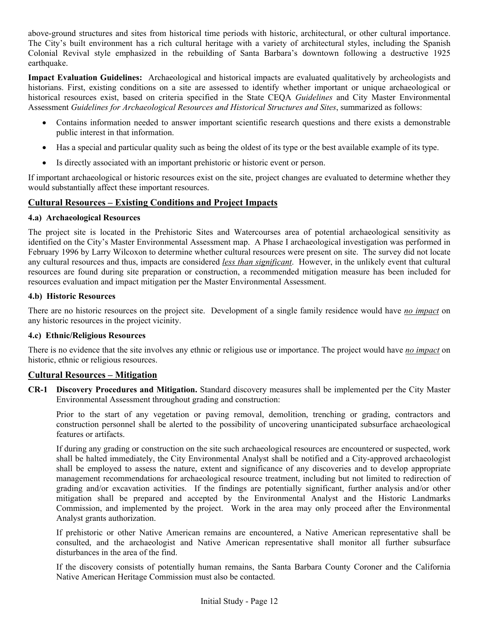above-ground structures and sites from historical time periods with historic, architectural, or other cultural importance. The City's built environment has a rich cultural heritage with a variety of architectural styles, including the Spanish Colonial Revival style emphasized in the rebuilding of Santa Barbara's downtown following a destructive 1925 earthquake.

**Impact Evaluation Guidelines:** Archaeological and historical impacts are evaluated qualitatively by archeologists and historians. First, existing conditions on a site are assessed to identify whether important or unique archaeological or historical resources exist, based on criteria specified in the State CEQA *Guidelines* and City Master Environmental Assessment *Guidelines for Archaeological Resources and Historical Structures and Sites*, summarized as follows:

- Contains information needed to answer important scientific research questions and there exists a demonstrable public interest in that information.
- Has a special and particular quality such as being the oldest of its type or the best available example of its type.
- Is directly associated with an important prehistoric or historic event or person.

If important archaeological or historic resources exist on the site, project changes are evaluated to determine whether they would substantially affect these important resources.

## **Cultural Resources – Existing Conditions and Project Impacts**

### **4.a) Archaeological Resources**

The project site is located in the Prehistoric Sites and Watercourses area of potential archaeological sensitivity as identified on the City's Master Environmental Assessment map. A Phase I archaeological investigation was performed in February 1996 by Larry Wilcoxon to determine whether cultural resources were present on site. The survey did not locate any cultural resources and thus, impacts are considered *less than significant*. However, in the unlikely event that cultural resources are found during site preparation or construction, a recommended mitigation measure has been included for resources evaluation and impact mitigation per the Master Environmental Assessment.

#### **4.b) Historic Resources**

There are no historic resources on the project site. Development of a single family residence would have *no impact* on any historic resources in the project vicinity.

### **4.c) Ethnic/Religious Resources**

There is no evidence that the site involves any ethnic or religious use or importance. The project would have *no impact* on historic, ethnic or religious resources.

### **Cultural Resources – Mitigation**

**CR-1 Discovery Procedures and Mitigation.** Standard discovery measures shall be implemented per the City Master Environmental Assessment throughout grading and construction:

Prior to the start of any vegetation or paving removal, demolition, trenching or grading, contractors and construction personnel shall be alerted to the possibility of uncovering unanticipated subsurface archaeological features or artifacts.

If during any grading or construction on the site such archaeological resources are encountered or suspected, work shall be halted immediately, the City Environmental Analyst shall be notified and a City-approved archaeologist shall be employed to assess the nature, extent and significance of any discoveries and to develop appropriate management recommendations for archaeological resource treatment, including but not limited to redirection of grading and/or excavation activities. If the findings are potentially significant, further analysis and/or other mitigation shall be prepared and accepted by the Environmental Analyst and the Historic Landmarks Commission, and implemented by the project. Work in the area may only proceed after the Environmental Analyst grants authorization.

If prehistoric or other Native American remains are encountered, a Native American representative shall be consulted, and the archaeologist and Native American representative shall monitor all further subsurface disturbances in the area of the find.

If the discovery consists of potentially human remains, the Santa Barbara County Coroner and the California Native American Heritage Commission must also be contacted.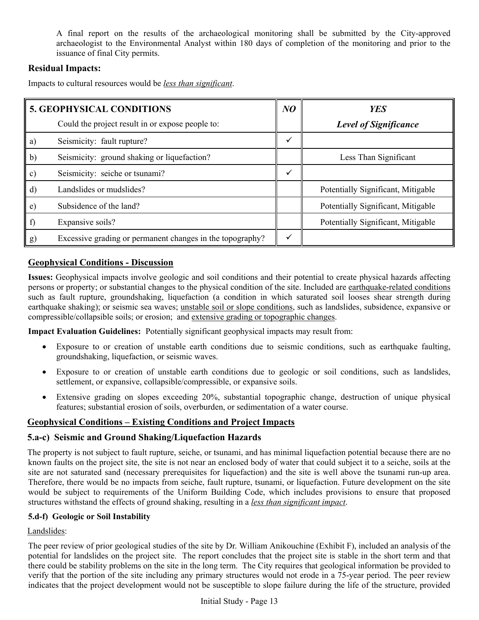A final report on the results of the archaeological monitoring shall be submitted by the City-approved archaeologist to the Environmental Analyst within 180 days of completion of the monitoring and prior to the issuance of final City permits.

## **Residual Impacts:**

Impacts to cultural resources would be *less than significant*.

| <b>5. GEOPHYSICAL CONDITIONS</b> |                                                           | NO | <b>YES</b>                         |
|----------------------------------|-----------------------------------------------------------|----|------------------------------------|
|                                  | Could the project result in or expose people to:          |    | <b>Level of Significance</b>       |
| a)                               | Seismicity: fault rupture?                                |    |                                    |
| $\mathbf{b}$                     | Seismicity: ground shaking or liquefaction?               |    | Less Than Significant              |
| c)                               | Seismicity: seiche or tsunami?                            |    |                                    |
| d)                               | Landslides or mudslides?                                  |    | Potentially Significant, Mitigable |
| e)                               | Subsidence of the land?                                   |    | Potentially Significant, Mitigable |
| f)                               | Expansive soils?                                          |    | Potentially Significant, Mitigable |
| g)                               | Excessive grading or permanent changes in the topography? |    |                                    |

### **Geophysical Conditions - Discussion**

**Issues:** Geophysical impacts involve geologic and soil conditions and their potential to create physical hazards affecting persons or property; or substantial changes to the physical condition of the site. Included are earthquake-related conditions such as fault rupture, groundshaking, liquefaction (a condition in which saturated soil looses shear strength during earthquake shaking); or seismic sea waves; unstable soil or slope conditions, such as landslides, subsidence, expansive or compressible/collapsible soils; or erosion; and extensive grading or topographic changes.

**Impact Evaluation Guidelines:** Potentially significant geophysical impacts may result from:

- Exposure to or creation of unstable earth conditions due to seismic conditions, such as earthquake faulting, groundshaking, liquefaction, or seismic waves.
- Exposure to or creation of unstable earth conditions due to geologic or soil conditions, such as landslides, settlement, or expansive, collapsible/compressible, or expansive soils.
- Extensive grading on slopes exceeding 20%, substantial topographic change, destruction of unique physical features; substantial erosion of soils, overburden, or sedimentation of a water course.

## **Geophysical Conditions – Existing Conditions and Project Impacts**

### **5.a-c) Seismic and Ground Shaking/Liquefaction Hazards**

The property is not subject to fault rupture, seiche, or tsunami, and has minimal liquefaction potential because there are no known faults on the project site, the site is not near an enclosed body of water that could subject it to a seiche, soils at the site are not saturated sand (necessary prerequisites for liquefaction) and the site is well above the tsunami run-up area. Therefore, there would be no impacts from seiche, fault rupture, tsunami, or liquefaction. Future development on the site would be subject to requirements of the Uniform Building Code, which includes provisions to ensure that proposed structures withstand the effects of ground shaking, resulting in a *less than significant impact*.

### **5.d-f) Geologic or Soil Instability**

Landslides:

The peer review of prior geological studies of the site by Dr. William Anikouchine (Exhibit F), included an analysis of the potential for landslides on the project site. The report concludes that the project site is stable in the short term and that there could be stability problems on the site in the long term. The City requires that geological information be provided to verify that the portion of the site including any primary structures would not erode in a 75-year period. The peer review indicates that the project development would not be susceptible to slope failure during the life of the structure, provided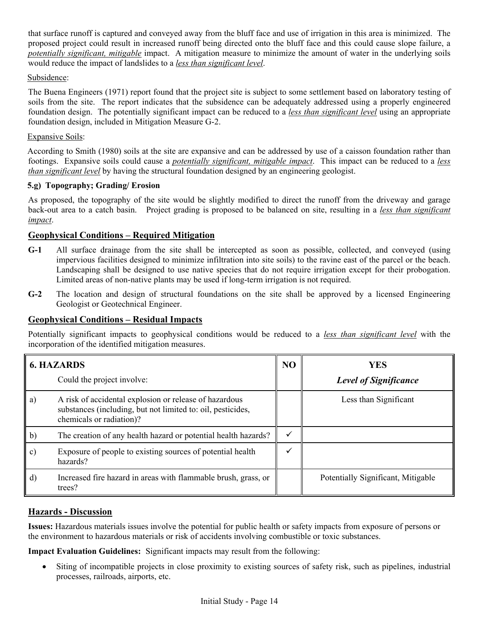that surface runoff is captured and conveyed away from the bluff face and use of irrigation in this area is minimized. The proposed project could result in increased runoff being directed onto the bluff face and this could cause slope failure, a *potentially significant, mitigable* impact. A mitigation measure to minimize the amount of water in the underlying soils would reduce the impact of landslides to a *less than significant level*.

#### Subsidence:

The Buena Engineers (1971) report found that the project site is subject to some settlement based on laboratory testing of soils from the site. The report indicates that the subsidence can be adequately addressed using a properly engineered foundation design. The potentially significant impact can be reduced to a *less than significant level* using an appropriate foundation design, included in Mitigation Measure G-2.

#### Expansive Soils:

According to Smith (1980) soils at the site are expansive and can be addressed by use of a caisson foundation rather than footings. Expansive soils could cause a *potentially significant, mitigable impact*. This impact can be reduced to a *less than significant level* by having the structural foundation designed by an engineering geologist.

#### **5.g) Topography; Grading/ Erosion**

As proposed, the topography of the site would be slightly modified to direct the runoff from the driveway and garage back-out area to a catch basin. Project grading is proposed to be balanced on site, resulting in a *less than significant impact*.

### **Geophysical Conditions – Required Mitigation**

- **G-1** All surface drainage from the site shall be intercepted as soon as possible, collected, and conveyed (using impervious facilities designed to minimize infiltration into site soils) to the ravine east of the parcel or the beach. Landscaping shall be designed to use native species that do not require irrigation except for their probogation. Limited areas of non-native plants may be used if long-term irrigation is not required.
- **G-2** The location and design of structural foundations on the site shall be approved by a licensed Engineering Geologist or Geotechnical Engineer.

### **Geophysical Conditions – Residual Impacts**

Potentially significant impacts to geophysical conditions would be reduced to a *less than significant level* with the incorporation of the identified mitigation measures.

|    | <b>6. HAZARDS</b>                                                                                                                                 | N <sub>O</sub> | <b>YES</b>                         |
|----|---------------------------------------------------------------------------------------------------------------------------------------------------|----------------|------------------------------------|
|    | Could the project involve:                                                                                                                        |                | <b>Level of Significance</b>       |
| a) | A risk of accidental explosion or release of hazardous<br>substances (including, but not limited to: oil, pesticides,<br>chemicals or radiation)? |                | Less than Significant              |
| b) | The creation of any health hazard or potential health hazards?                                                                                    | ✓              |                                    |
| c) | Exposure of people to existing sources of potential health<br>hazards?                                                                            |                |                                    |
| d) | Increased fire hazard in areas with flammable brush, grass, or<br>trees?                                                                          |                | Potentially Significant, Mitigable |

### **Hazards - Discussion**

**Issues:** Hazardous materials issues involve the potential for public health or safety impacts from exposure of persons or the environment to hazardous materials or risk of accidents involving combustible or toxic substances.

**Impact Evaluation Guidelines:** Significant impacts may result from the following:

Siting of incompatible projects in close proximity to existing sources of safety risk, such as pipelines, industrial processes, railroads, airports, etc.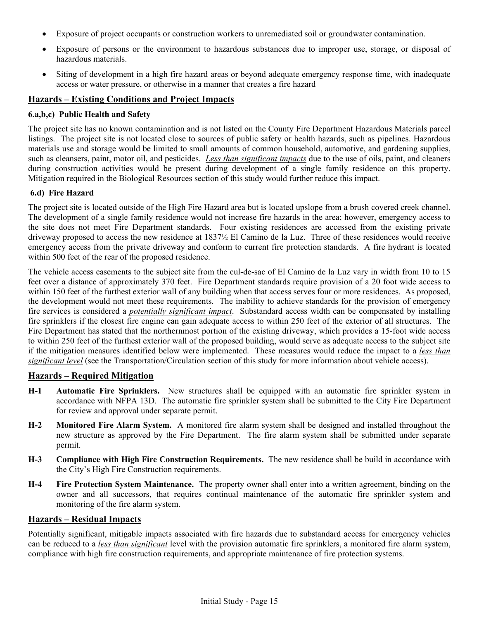- Exposure of project occupants or construction workers to unremediated soil or groundwater contamination.
- Exposure of persons or the environment to hazardous substances due to improper use, storage, or disposal of hazardous materials.
- Siting of development in a high fire hazard areas or beyond adequate emergency response time, with inadequate access or water pressure, or otherwise in a manner that creates a fire hazard

#### **Hazards – Existing Conditions and Project Impacts**

#### **6.a,b,c) Public Health and Safety**

The project site has no known contamination and is not listed on the County Fire Department Hazardous Materials parcel listings. The project site is not located close to sources of public safety or health hazards, such as pipelines. Hazardous materials use and storage would be limited to small amounts of common household, automotive, and gardening supplies, such as cleansers, paint, motor oil, and pesticides. *Less than significant impacts* due to the use of oils, paint, and cleaners during construction activities would be present during development of a single family residence on this property. Mitigation required in the Biological Resources section of this study would further reduce this impact.

#### **6.d) Fire Hazard**

The project site is located outside of the High Fire Hazard area but is located upslope from a brush covered creek channel. The development of a single family residence would not increase fire hazards in the area; however, emergency access to the site does not meet Fire Department standards. Four existing residences are accessed from the existing private driveway proposed to access the new residence at 1837½ El Camino de la Luz. Three of these residences would receive emergency access from the private driveway and conform to current fire protection standards. A fire hydrant is located within 500 feet of the rear of the proposed residence.

The vehicle access easements to the subject site from the cul-de-sac of El Camino de la Luz vary in width from 10 to 15 feet over a distance of approximately 370 feet. Fire Department standards require provision of a 20 foot wide access to within 150 feet of the furthest exterior wall of any building when that access serves four or more residences. As proposed, the development would not meet these requirements. The inability to achieve standards for the provision of emergency fire services is considered a *potentially significant impact*. Substandard access width can be compensated by installing fire sprinklers if the closest fire engine can gain adequate access to within 250 feet of the exterior of all structures. The Fire Department has stated that the northernmost portion of the existing driveway, which provides a 15-foot wide access to within 250 feet of the furthest exterior wall of the proposed building, would serve as adequate access to the subject site if the mitigation measures identified below were implemented. These measures would reduce the impact to a *less than significant level* (see the Transportation/Circulation section of this study for more information about vehicle access).

#### **Hazards – Required Mitigation**

- **H-1 Automatic Fire Sprinklers.** New structures shall be equipped with an automatic fire sprinkler system in accordance with NFPA 13D. The automatic fire sprinkler system shall be submitted to the City Fire Department for review and approval under separate permit.
- **H-2 Monitored Fire Alarm System.** A monitored fire alarm system shall be designed and installed throughout the new structure as approved by the Fire Department. The fire alarm system shall be submitted under separate permit.
- **H-3 Compliance with High Fire Construction Requirements.** The new residence shall be build in accordance with the City's High Fire Construction requirements.
- **H-4 Fire Protection System Maintenance.** The property owner shall enter into a written agreement, binding on the owner and all successors, that requires continual maintenance of the automatic fire sprinkler system and monitoring of the fire alarm system.

#### **Hazards – Residual Impacts**

Potentially significant, mitigable impacts associated with fire hazards due to substandard access for emergency vehicles can be reduced to a *less than significant* level with the provision automatic fire sprinklers, a monitored fire alarm system, compliance with high fire construction requirements, and appropriate maintenance of fire protection systems.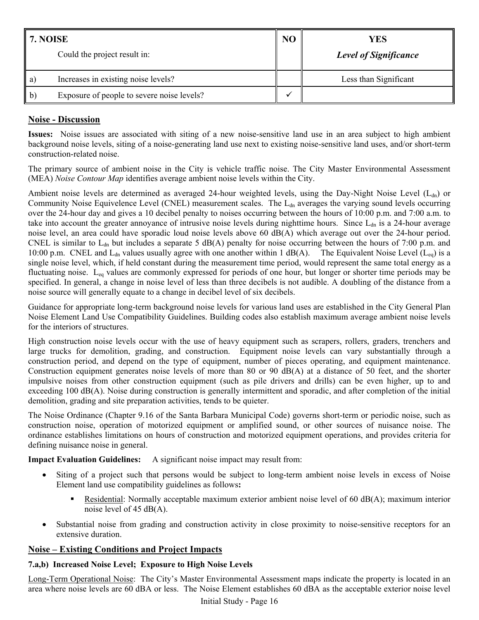| 7. NOISE<br>Could the project result in: |                                            | NC | YES<br><b>Level of Significance</b> |
|------------------------------------------|--------------------------------------------|----|-------------------------------------|
| a)                                       | Increases in existing noise levels?        |    | Less than Significant               |
| $\mathbf{b}$                             | Exposure of people to severe noise levels? |    |                                     |

## **Noise - Discussion**

**Issues:** Noise issues are associated with siting of a new noise-sensitive land use in an area subject to high ambient background noise levels, siting of a noise-generating land use next to existing noise-sensitive land uses, and/or short-term construction-related noise.

The primary source of ambient noise in the City is vehicle traffic noise. The City Master Environmental Assessment (MEA) *Noise Contour Map* identifies average ambient noise levels within the City.

Ambient noise levels are determined as averaged 24-hour weighted levels, using the Day-Night Noise Level ( $L_{dn}$ ) or Community Noise Equivelence Level (CNEL) measurement scales. The L<sub>dn</sub> averages the varying sound levels occurring over the 24-hour day and gives a 10 decibel penalty to noises occurring between the hours of 10:00 p.m. and 7:00 a.m. to take into account the greater annoyance of intrusive noise levels during nighttime hours. Since  $L_{dn}$  is a 24-hour average noise level, an area could have sporadic loud noise levels above 60 dB(A) which average out over the 24-hour period. CNEL is similar to  $L_{dn}$  but includes a separate 5 dB(A) penalty for noise occurring between the hours of 7:00 p.m. and 10:00 p.m. CNEL and  $L_{dn}$  values usually agree with one another within 1 dB(A). The Equivalent Noise Level ( $L_{eq}$ ) is a single noise level, which, if held constant during the measurement time period, would represent the same total energy as a fluctuating noise. L<sub>eq</sub> values are commonly expressed for periods of one hour, but longer or shorter time periods may be specified. In general, a change in noise level of less than three decibels is not audible. A doubling of the distance from a noise source will generally equate to a change in decibel level of six decibels.

Guidance for appropriate long-term background noise levels for various land uses are established in the City General Plan Noise Element Land Use Compatibility Guidelines. Building codes also establish maximum average ambient noise levels for the interiors of structures.

High construction noise levels occur with the use of heavy equipment such as scrapers, rollers, graders, trenchers and large trucks for demolition, grading, and construction. Equipment noise levels can vary substantially through a construction period, and depend on the type of equipment, number of pieces operating, and equipment maintenance. Construction equipment generates noise levels of more than 80 or 90 dB(A) at a distance of 50 feet, and the shorter impulsive noises from other construction equipment (such as pile drivers and drills) can be even higher, up to and exceeding 100 dB(A). Noise during construction is generally intermittent and sporadic, and after completion of the initial demolition, grading and site preparation activities, tends to be quieter.

The Noise Ordinance (Chapter 9.16 of the Santa Barbara Municipal Code) governs short-term or periodic noise, such as construction noise, operation of motorized equipment or amplified sound, or other sources of nuisance noise. The ordinance establishes limitations on hours of construction and motorized equipment operations, and provides criteria for defining nuisance noise in general.

**Impact Evaluation Guidelines:** A significant noise impact may result from:

- Siting of a project such that persons would be subject to long-term ambient noise levels in excess of Noise Element land use compatibility guidelines as follows**:**
	- Residential: Normally acceptable maximum exterior ambient noise level of 60 dB(A); maximum interior noise level of 45 dB(A).
- Substantial noise from grading and construction activity in close proximity to noise-sensitive receptors for an extensive duration.

### **Noise – Existing Conditions and Project Impacts**

### **7.a,b) Increased Noise Level; Exposure to High Noise Levels**

Long-Term Operational Noise: The City's Master Environmental Assessment maps indicate the property is located in an area where noise levels are 60 dBA or less. The Noise Element establishes 60 dBA as the acceptable exterior noise level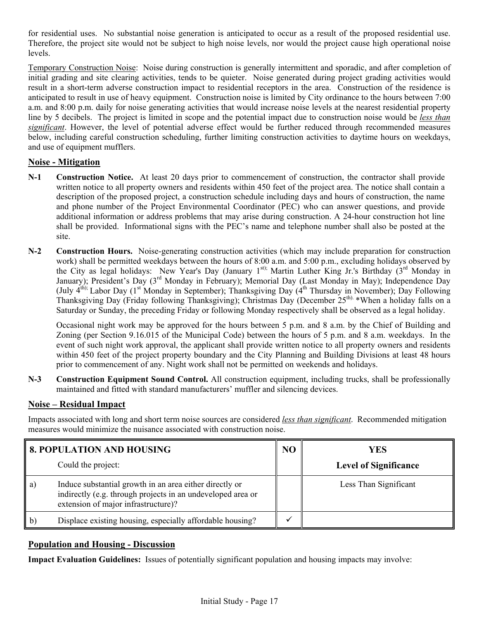for residential uses. No substantial noise generation is anticipated to occur as a result of the proposed residential use. Therefore, the project site would not be subject to high noise levels, nor would the project cause high operational noise levels.

Temporary Construction Noise: Noise during construction is generally intermittent and sporadic, and after completion of initial grading and site clearing activities, tends to be quieter. Noise generated during project grading activities would result in a short-term adverse construction impact to residential receptors in the area. Construction of the residence is anticipated to result in use of heavy equipment. Construction noise is limited by City ordinance to the hours between 7:00 a.m. and 8:00 p.m. daily for noise generating activities that would increase noise levels at the nearest residential property line by 5 decibels. The project is limited in scope and the potential impact due to construction noise would be *less than significant*. However, the level of potential adverse effect would be further reduced through recommended measures below, including careful construction scheduling, further limiting construction activities to daytime hours on weekdays, and use of equipment mufflers.

### **Noise - Mitigation**

- **N-1 Construction Notice.** At least 20 days prior to commencement of construction, the contractor shall provide written notice to all property owners and residents within 450 feet of the project area. The notice shall contain a description of the proposed project, a construction schedule including days and hours of construction, the name and phone number of the Project Environmental Coordinator (PEC) who can answer questions, and provide additional information or address problems that may arise during construction. A 24-hour construction hot line shall be provided. Informational signs with the PEC's name and telephone number shall also be posted at the site.
- **N-2 Construction Hours.** Noise-generating construction activities (which may include preparation for construction work) shall be permitted weekdays between the hours of 8:00 a.m. and 5:00 p.m., excluding holidays observed by the City as legal holidays: New Year's Day (January 1st); Martin Luther King Jr.'s Birthday (3rd Monday in January); President's Day (3rd Monday in February); Memorial Day (Last Monday in May); Independence Day (July  $4^{th}$ ); Labor Day (1<sup>st</sup> Monday in September); Thanksgiving Day ( $4^{th}$  Thursday in November); Day Following Thanksgiving Day (Friday following Thanksgiving); Christmas Day (December 25<sup>th).</sup> \*When a holiday falls on a Saturday or Sunday, the preceding Friday or following Monday respectively shall be observed as a legal holiday.

 Occasional night work may be approved for the hours between 5 p.m. and 8 a.m. by the Chief of Building and Zoning (per Section 9.16.015 of the Municipal Code) between the hours of 5 p.m. and 8 a.m. weekdays. In the event of such night work approval, the applicant shall provide written notice to all property owners and residents within 450 feet of the project property boundary and the City Planning and Building Divisions at least 48 hours prior to commencement of any. Night work shall not be permitted on weekends and holidays.

**N-3 Construction Equipment Sound Control.** All construction equipment, including trucks, shall be professionally maintained and fitted with standard manufacturers' muffler and silencing devices.

### **Noise – Residual Impact**

Impacts associated with long and short term noise sources are considered *less than significant*. Recommended mitigation measures would minimize the nuisance associated with construction noise.

|                 | <b>8. POPULATION AND HOUSING</b>                                                                                                                              | N <sub>O</sub> | <b>YES</b>                   |
|-----------------|---------------------------------------------------------------------------------------------------------------------------------------------------------------|----------------|------------------------------|
|                 | Could the project:                                                                                                                                            |                | <b>Level of Significance</b> |
| $\vert a)$      | Induce substantial growth in an area either directly or<br>indirectly (e.g. through projects in an undeveloped area or<br>extension of major infrastructure)? |                | Less Than Significant        |
| $\mathsf{I}$ b) | Displace existing housing, especially affordable housing?                                                                                                     |                |                              |

### **Population and Housing - Discussion**

**Impact Evaluation Guidelines:** Issues of potentially significant population and housing impacts may involve: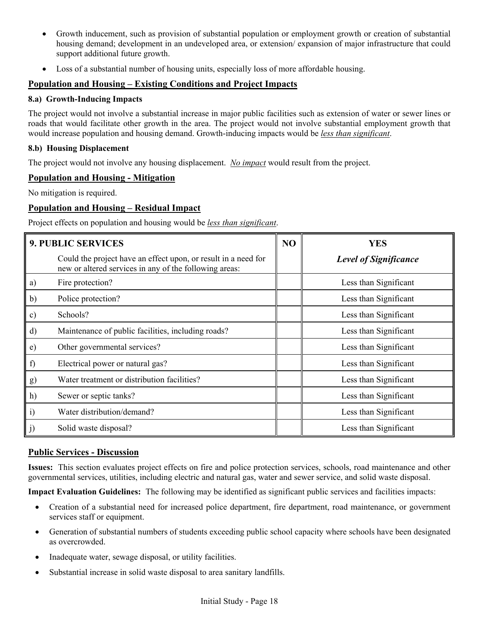- Growth inducement, such as provision of substantial population or employment growth or creation of substantial housing demand; development in an undeveloped area, or extension/ expansion of major infrastructure that could support additional future growth.
- Loss of a substantial number of housing units, especially loss of more affordable housing.

### **Population and Housing – Existing Conditions and Project Impacts**

#### **8.a) Growth-Inducing Impacts**

The project would not involve a substantial increase in major public facilities such as extension of water or sewer lines or roads that would facilitate other growth in the area. The project would not involve substantial employment growth that would increase population and housing demand. Growth-inducing impacts would be *less than significant*.

#### **8.b) Housing Displacement**

The project would not involve any housing displacement. *No impact* would result from the project.

### **Population and Housing - Mitigation**

No mitigation is required.

### **Population and Housing – Residual Impact**

Project effects on population and housing would be *less than significant*.

|               | <b>9. PUBLIC SERVICES</b>                                                                                                |  | YES                          |
|---------------|--------------------------------------------------------------------------------------------------------------------------|--|------------------------------|
|               | Could the project have an effect upon, or result in a need for<br>new or altered services in any of the following areas: |  | <b>Level of Significance</b> |
| a)            | Fire protection?                                                                                                         |  | Less than Significant        |
| b)            | Police protection?                                                                                                       |  | Less than Significant        |
| $\mathbf{c})$ | Schools?                                                                                                                 |  | Less than Significant        |
| d)            | Maintenance of public facilities, including roads?                                                                       |  | Less than Significant        |
| e)            | Other governmental services?                                                                                             |  | Less than Significant        |
| f)            | Electrical power or natural gas?                                                                                         |  | Less than Significant        |
| g)            | Water treatment or distribution facilities?                                                                              |  | Less than Significant        |
| h)            | Sewer or septic tanks?                                                                                                   |  | Less than Significant        |
| i)            | Water distribution/demand?                                                                                               |  | Less than Significant        |
| $\mathbf{J}$  | Solid waste disposal?                                                                                                    |  | Less than Significant        |

#### **Public Services - Discussion**

**Issues:** This section evaluates project effects on fire and police protection services, schools, road maintenance and other governmental services, utilities, including electric and natural gas, water and sewer service, and solid waste disposal.

**Impact Evaluation Guidelines:** The following may be identified as significant public services and facilities impacts:

- Creation of a substantial need for increased police department, fire department, road maintenance, or government services staff or equipment.
- Generation of substantial numbers of students exceeding public school capacity where schools have been designated as overcrowded.
- Inadequate water, sewage disposal, or utility facilities.
- Substantial increase in solid waste disposal to area sanitary landfills.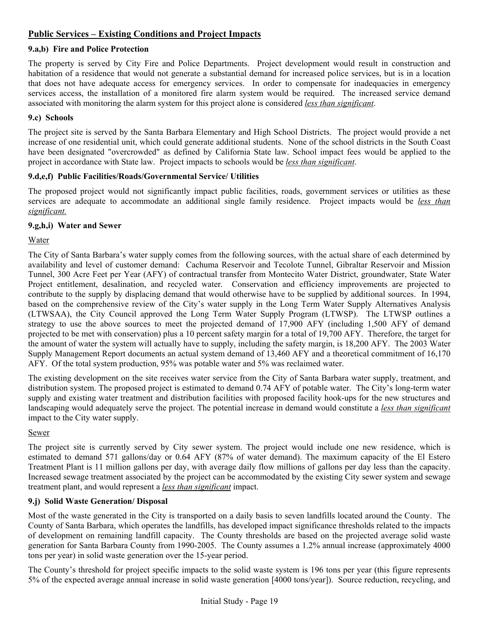## **Public Services – Existing Conditions and Project Impacts**

#### **9.a,b) Fire and Police Protection**

The property is served by City Fire and Police Departments. Project development would result in construction and habitation of a residence that would not generate a substantial demand for increased police services, but is in a location that does not have adequate access for emergency services. In order to compensate for inadequacies in emergency services access, the installation of a monitored fire alarm system would be required. The increased service demand associated with monitoring the alarm system for this project alone is considered *less than significant*.

#### **9.c) Schools**

The project site is served by the Santa Barbara Elementary and High School Districts. The project would provide a net increase of one residential unit, which could generate additional students. None of the school districts in the South Coast have been designated "overcrowded" as defined by California State law. School impact fees would be applied to the project in accordance with State law. Project impacts to schools would be *less than significant*.

#### **9.d,e,f) Public Facilities/Roads/Governmental Service/ Utilities**

The proposed project would not significantly impact public facilities, roads, government services or utilities as these services are adequate to accommodate an additional single family residence. Project impacts would be *less than significant.*

### **9.g,h,i) Water and Sewer**

Water

The City of Santa Barbara's water supply comes from the following sources, with the actual share of each determined by availability and level of customer demand: Cachuma Reservoir and Tecolote Tunnel, Gibraltar Reservoir and Mission Tunnel, 300 Acre Feet per Year (AFY) of contractual transfer from Montecito Water District, groundwater, State Water Project entitlement, desalination, and recycled water. Conservation and efficiency improvements are projected to contribute to the supply by displacing demand that would otherwise have to be supplied by additional sources. In 1994, based on the comprehensive review of the City's water supply in the Long Term Water Supply Alternatives Analysis (LTWSAA), the City Council approved the Long Term Water Supply Program (LTWSP). The LTWSP outlines a strategy to use the above sources to meet the projected demand of 17,900 AFY (including 1,500 AFY of demand projected to be met with conservation) plus a 10 percent safety margin for a total of 19,700 AFY. Therefore, the target for the amount of water the system will actually have to supply, including the safety margin, is 18,200 AFY. The 2003 Water Supply Management Report documents an actual system demand of 13,460 AFY and a theoretical commitment of 16,170 AFY. Of the total system production, 95% was potable water and 5% was reclaimed water.

The existing development on the site receives water service from the City of Santa Barbara water supply, treatment, and distribution system. The proposed project is estimated to demand 0.74 AFY of potable water. The City's long-term water supply and existing water treatment and distribution facilities with proposed facility hook-ups for the new structures and landscaping would adequately serve the project. The potential increase in demand would constitute a *less than significant* impact to the City water supply.

#### Sewer

The project site is currently served by City sewer system. The project would include one new residence, which is estimated to demand 571 gallons/day or 0.64 AFY (87% of water demand). The maximum capacity of the El Estero Treatment Plant is 11 million gallons per day, with average daily flow millions of gallons per day less than the capacity. Increased sewage treatment associated by the project can be accommodated by the existing City sewer system and sewage treatment plant, and would represent a *less than significant* impact.

### **9.j) Solid Waste Generation/ Disposal**

Most of the waste generated in the City is transported on a daily basis to seven landfills located around the County. The County of Santa Barbara, which operates the landfills, has developed impact significance thresholds related to the impacts of development on remaining landfill capacity. The County thresholds are based on the projected average solid waste generation for Santa Barbara County from 1990-2005. The County assumes a 1.2% annual increase (approximately 4000 tons per year) in solid waste generation over the 15-year period.

The County's threshold for project specific impacts to the solid waste system is 196 tons per year (this figure represents 5% of the expected average annual increase in solid waste generation [4000 tons/year]). Source reduction, recycling, and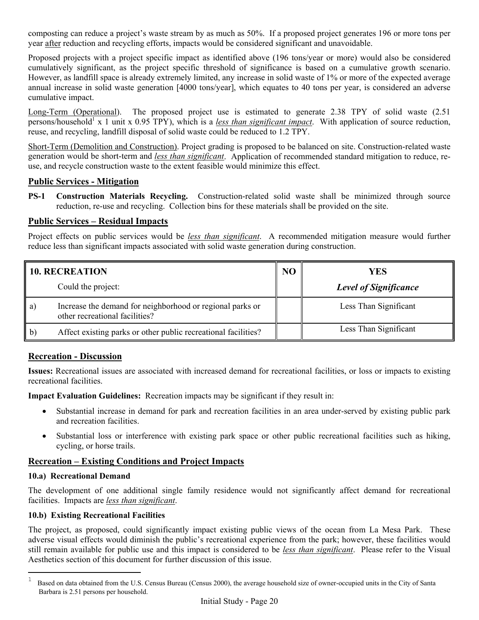composting can reduce a project's waste stream by as much as 50%. If a proposed project generates 196 or more tons per year after reduction and recycling efforts, impacts would be considered significant and unavoidable.

Proposed projects with a project specific impact as identified above (196 tons/year or more) would also be considered cumulatively significant, as the project specific threshold of significance is based on a cumulative growth scenario. However, as landfill space is already extremely limited, any increase in solid waste of 1% or more of the expected average annual increase in solid waste generation [4000 tons/year], which equates to 40 tons per year, is considered an adverse cumulative impact.

Long-Term (Operational). The proposed project use is estimated to generate 2.38 TPY of solid waste (2.51 persons/household<sup>1</sup> x 1 unit x 0.95 TPY), which is a *less than significant impact*. With application of source reduction, reuse, and recycling, landfill disposal of solid waste could be reduced to 1.2 TPY.

Short-Term (Demolition and Construction). Project grading is proposed to be balanced on site. Construction-related waste generation would be short-term and *less than significant*. Application of recommended standard mitigation to reduce, reuse, and recycle construction waste to the extent feasible would minimize this effect.

### **Public Services - Mitigation**

**PS-1 Construction Materials Recycling.** Construction-related solid waste shall be minimized through source reduction, re-use and recycling. Collection bins for these materials shall be provided on the site.

## **Public Services – Residual Impacts**

Project effects on public services would be *less than significant*. A recommended mitigation measure would further reduce less than significant impacts associated with solid waste generation during construction.

|              | <b>10. RECREATION</b>                                                                       | NO | YES                          |
|--------------|---------------------------------------------------------------------------------------------|----|------------------------------|
|              | Could the project:                                                                          |    | <b>Level of Significance</b> |
| a)           | Increase the demand for neighborhood or regional parks or<br>other recreational facilities? |    | Less Than Significant        |
| $\mathbf{b}$ | Affect existing parks or other public recreational facilities?                              |    | Less Than Significant        |

## **Recreation - Discussion**

**Issues:** Recreational issues are associated with increased demand for recreational facilities, or loss or impacts to existing recreational facilities.

**Impact Evaluation Guidelines:** Recreation impacts may be significant if they result in:

- Substantial increase in demand for park and recreation facilities in an area under-served by existing public park and recreation facilities.
- Substantial loss or interference with existing park space or other public recreational facilities such as hiking, cycling, or horse trails.

## **Recreation – Existing Conditions and Project Impacts**

### **10.a) Recreational Demand**

The development of one additional single family residence would not significantly affect demand for recreational facilities. Impacts are *less than significant*.

## **10.b) Existing Recreational Facilities**

The project, as proposed, could significantly impact existing public views of the ocean from La Mesa Park. These adverse visual effects would diminish the public's recreational experience from the park; however, these facilities would still remain available for public use and this impact is considered to be *less than significant*. Please refer to the Visual Aesthetics section of this document for further discussion of this issue.

 $\mathbf{1}$ <sup>1</sup> Based on data obtained from the U.S. Census Bureau (Census 2000), the average household size of owner-occupied units in the City of Santa Barbara is 2.51 persons per household.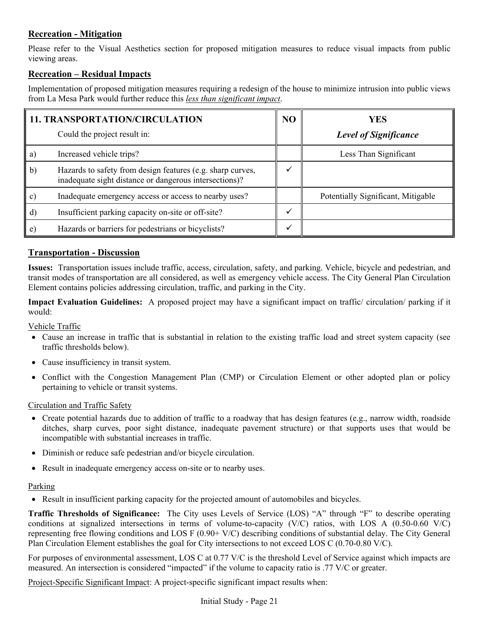# **Recreation - Mitigation**

Please refer to the Visual Aesthetics section for proposed mitigation measures to reduce visual impacts from public viewing areas.

## **Recreation – Residual Impacts**

Implementation of proposed mitigation measures requiring a redesign of the house to minimize intrusion into public views from La Mesa Park would further reduce this *less than significant impact*.

|              | <b>11. TRANSPORTATION/CIRCULATION</b>                                                                                | NO | YES                                |
|--------------|----------------------------------------------------------------------------------------------------------------------|----|------------------------------------|
|              | Could the project result in:                                                                                         |    | <b>Level of Significance</b>       |
| a)           | Increased vehicle trips?                                                                                             |    | Less Than Significant              |
| $\mathbf{b}$ | Hazards to safety from design features (e.g. sharp curves,<br>inadequate sight distance or dangerous intersections)? |    |                                    |
| C)           | Inadequate emergency access or access to nearby uses?                                                                |    | Potentially Significant, Mitigable |
| d)           | Insufficient parking capacity on-site or off-site?                                                                   |    |                                    |
| e)           | Hazards or barriers for pedestrians or bicyclists?                                                                   |    |                                    |

### **Transportation - Discussion**

**Issues:** Transportation issues include traffic, access, circulation, safety, and parking. Vehicle, bicycle and pedestrian, and transit modes of transportation are all considered, as well as emergency vehicle access. The City General Plan Circulation Element contains policies addressing circulation, traffic, and parking in the City.

**Impact Evaluation Guidelines:** A proposed project may have a significant impact on traffic/ circulation/ parking if it would:

### Vehicle Traffic

- Cause an increase in traffic that is substantial in relation to the existing traffic load and street system capacity (see traffic thresholds below).
- Cause insufficiency in transit system.
- Conflict with the Congestion Management Plan (CMP) or Circulation Element or other adopted plan or policy pertaining to vehicle or transit systems.

### Circulation and Traffic Safety

- Create potential hazards due to addition of traffic to a roadway that has design features (e.g., narrow width, roadside ditches, sharp curves, poor sight distance, inadequate pavement structure) or that supports uses that would be incompatible with substantial increases in traffic.
- Diminish or reduce safe pedestrian and/or bicycle circulation.
- Result in inadequate emergency access on-site or to nearby uses.

### Parking

• Result in insufficient parking capacity for the projected amount of automobiles and bicycles.

**Traffic Thresholds of Significance:** The City uses Levels of Service (LOS) "A" through "F" to describe operating conditions at signalized intersections in terms of volume-to-capacity (V/C) ratios, with LOS A (0.50-0.60 V/C) representing free flowing conditions and LOS F (0.90+ V/C) describing conditions of substantial delay. The City General Plan Circulation Element establishes the goal for City intersections to not exceed LOS C (0.70-0.80 V/C).

For purposes of environmental assessment, LOS C at 0.77 V/C is the threshold Level of Service against which impacts are measured. An intersection is considered "impacted" if the volume to capacity ratio is .77 V/C or greater.

Project-Specific Significant Impact: A project-specific significant impact results when: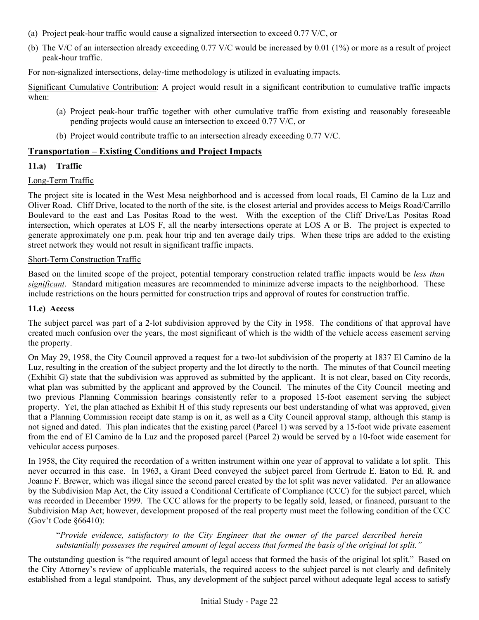- (a) Project peak-hour traffic would cause a signalized intersection to exceed 0.77 V/C, or
- (b) The V/C of an intersection already exceeding 0.77 V/C would be increased by 0.01 (1%) or more as a result of project peak-hour traffic.

For non-signalized intersections, delay-time methodology is utilized in evaluating impacts.

Significant Cumulative Contribution: A project would result in a significant contribution to cumulative traffic impacts when:

- (a) Project peak-hour traffic together with other cumulative traffic from existing and reasonably foreseeable pending projects would cause an intersection to exceed 0.77 V/C, or
- (b) Project would contribute traffic to an intersection already exceeding 0.77 V/C.

### **Transportation – Existing Conditions and Project Impacts**

#### **11.a) Traffic**

#### Long-Term Traffic

The project site is located in the West Mesa neighborhood and is accessed from local roads, El Camino de la Luz and Oliver Road. Cliff Drive, located to the north of the site, is the closest arterial and provides access to Meigs Road/Carrillo Boulevard to the east and Las Positas Road to the west. With the exception of the Cliff Drive/Las Positas Road intersection, which operates at LOS F, all the nearby intersections operate at LOS A or B. The project is expected to generate approximately one p.m. peak hour trip and ten average daily trips. When these trips are added to the existing street network they would not result in significant traffic impacts.

#### Short-Term Construction Traffic

Based on the limited scope of the project, potential temporary construction related traffic impacts would be *less than significant*. Standard mitigation measures are recommended to minimize adverse impacts to the neighborhood. These include restrictions on the hours permitted for construction trips and approval of routes for construction traffic.

#### **11.c) Access**

The subject parcel was part of a 2-lot subdivision approved by the City in 1958. The conditions of that approval have created much confusion over the years, the most significant of which is the width of the vehicle access easement serving the property.

On May 29, 1958, the City Council approved a request for a two-lot subdivision of the property at 1837 El Camino de la Luz, resulting in the creation of the subject property and the lot directly to the north. The minutes of that Council meeting (Exhibit G) state that the subdivision was approved as submitted by the applicant. It is not clear, based on City records, what plan was submitted by the applicant and approved by the Council. The minutes of the City Council meeting and two previous Planning Commission hearings consistently refer to a proposed 15-foot easement serving the subject property. Yet, the plan attached as Exhibit H of this study represents our best understanding of what was approved, given that a Planning Commission receipt date stamp is on it, as well as a City Council approval stamp, although this stamp is not signed and dated. This plan indicates that the existing parcel (Parcel 1) was served by a 15-foot wide private easement from the end of El Camino de la Luz and the proposed parcel (Parcel 2) would be served by a 10-foot wide easement for vehicular access purposes.

In 1958, the City required the recordation of a written instrument within one year of approval to validate a lot split. This never occurred in this case. In 1963, a Grant Deed conveyed the subject parcel from Gertrude E. Eaton to Ed. R. and Joanne F. Brewer, which was illegal since the second parcel created by the lot split was never validated. Per an allowance by the Subdivision Map Act, the City issued a Conditional Certificate of Compliance (CCC) for the subject parcel, which was recorded in December 1999. The CCC allows for the property to be legally sold, leased, or financed, pursuant to the Subdivision Map Act; however, development proposed of the real property must meet the following condition of the CCC (Gov't Code §66410):

#### "*Provide evidence, satisfactory to the City Engineer that the owner of the parcel described herein substantially possesses the required amount of legal access that formed the basis of the original lot split."*

The outstanding question is "the required amount of legal access that formed the basis of the original lot split." Based on the City Attorney's review of applicable materials, the required access to the subject parcel is not clearly and definitely established from a legal standpoint. Thus, any development of the subject parcel without adequate legal access to satisfy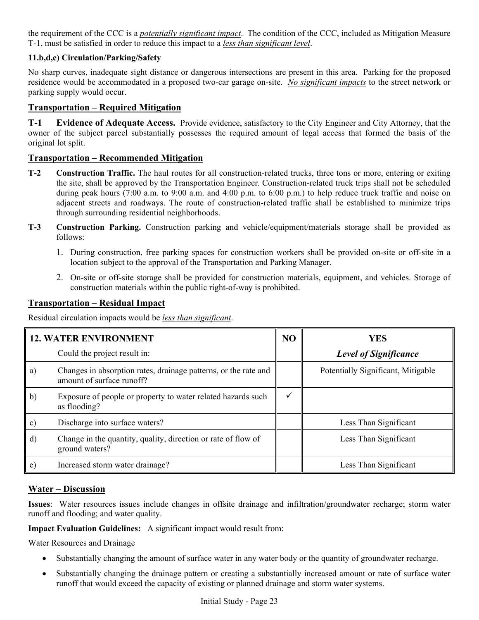the requirement of the CCC is a *potentially significant impact*. The condition of the CCC, included as Mitigation Measure T-1, must be satisfied in order to reduce this impact to a *less than significant level*.

### **11.b,d,e) Circulation/Parking/Safety**

No sharp curves, inadequate sight distance or dangerous intersections are present in this area. Parking for the proposed residence would be accommodated in a proposed two-car garage on-site. *No significant impacts* to the street network or parking supply would occur.

### **Transportation – Required Mitigation**

**T-1 Evidence of Adequate Access.** Provide evidence, satisfactory to the City Engineer and City Attorney, that the owner of the subject parcel substantially possesses the required amount of legal access that formed the basis of the original lot split.

### **Transportation – Recommended Mitigation**

- **T-2 Construction Traffic.** The haul routes for all construction-related trucks, three tons or more, entering or exiting the site, shall be approved by the Transportation Engineer. Construction-related truck trips shall not be scheduled during peak hours (7:00 a.m. to 9:00 a.m. and 4:00 p.m. to 6:00 p.m.) to help reduce truck traffic and noise on adjacent streets and roadways. The route of construction-related traffic shall be established to minimize trips through surrounding residential neighborhoods.
- **T-3 Construction Parking.** Construction parking and vehicle/equipment/materials storage shall be provided as follows:
	- 1. During construction, free parking spaces for construction workers shall be provided on-site or off-site in a location subject to the approval of the Transportation and Parking Manager.
	- 2. On-site or off-site storage shall be provided for construction materials, equipment, and vehicles. Storage of construction materials within the public right-of-way is prohibited.

### **Transportation – Residual Impact**

Residual circulation impacts would be *less than significant*.

| <b>12. WATER ENVIRONMENT</b> |                                                                                              | NO           | <b>YES</b>                         |  |
|------------------------------|----------------------------------------------------------------------------------------------|--------------|------------------------------------|--|
|                              | Could the project result in:                                                                 |              | <b>Level of Significance</b>       |  |
| a)                           | Changes in absorption rates, drainage patterns, or the rate and<br>amount of surface runoff? |              | Potentially Significant, Mitigable |  |
| $\mathbf{b}$                 | Exposure of people or property to water related hazards such<br>as flooding?                 | $\checkmark$ |                                    |  |
| c)                           | Discharge into surface waters?                                                               |              | Less Than Significant              |  |
| $\mathbf{d}$                 | Change in the quantity, quality, direction or rate of flow of<br>ground waters?              |              | Less Than Significant              |  |
| e)                           | Increased storm water drainage?                                                              |              | Less Than Significant              |  |

### **Water – Discussion**

**Issues**: Water resources issues include changes in offsite drainage and infiltration/groundwater recharge; storm water runoff and flooding; and water quality.

**Impact Evaluation Guidelines:** A significant impact would result from:

#### Water Resources and Drainage

- Substantially changing the amount of surface water in any water body or the quantity of groundwater recharge.
- Substantially changing the drainage pattern or creating a substantially increased amount or rate of surface water runoff that would exceed the capacity of existing or planned drainage and storm water systems.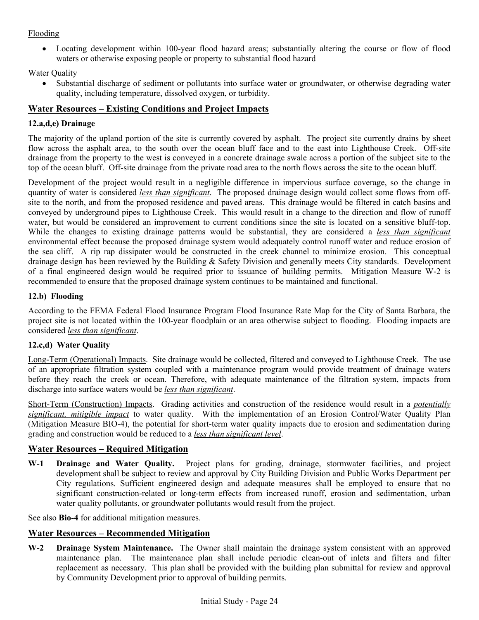### Flooding

• Locating development within 100-year flood hazard areas; substantially altering the course or flow of flood waters or otherwise exposing people or property to substantial flood hazard

### **Water Quality**

• Substantial discharge of sediment or pollutants into surface water or groundwater, or otherwise degrading water quality, including temperature, dissolved oxygen, or turbidity.

## **Water Resources – Existing Conditions and Project Impacts**

## **12.a,d,e) Drainage**

The majority of the upland portion of the site is currently covered by asphalt. The project site currently drains by sheet flow across the asphalt area, to the south over the ocean bluff face and to the east into Lighthouse Creek. Off-site drainage from the property to the west is conveyed in a concrete drainage swale across a portion of the subject site to the top of the ocean bluff. Off-site drainage from the private road area to the north flows across the site to the ocean bluff.

Development of the project would result in a negligible difference in impervious surface coverage, so the change in quantity of water is considered *less than significant*. The proposed drainage design would collect some flows from offsite to the north, and from the proposed residence and paved areas. This drainage would be filtered in catch basins and conveyed by underground pipes to Lighthouse Creek. This would result in a change to the direction and flow of runoff water, but would be considered an improvement to current conditions since the site is located on a sensitive bluff-top. While the changes to existing drainage patterns would be substantial, they are considered a *less than significant* environmental effect because the proposed drainage system would adequately control runoff water and reduce erosion of the sea cliff. A rip rap dissipater would be constructed in the creek channel to minimize erosion. This conceptual drainage design has been reviewed by the Building & Safety Division and generally meets City standards. Development of a final engineered design would be required prior to issuance of building permits. Mitigation Measure W-2 is recommended to ensure that the proposed drainage system continues to be maintained and functional.

### **12.b) Flooding**

According to the FEMA Federal Flood Insurance Program Flood Insurance Rate Map for the City of Santa Barbara, the project site is not located within the 100-year floodplain or an area otherwise subject to flooding. Flooding impacts are considered *less than significant*.

### **12.c,d) Water Quality**

Long-Term (Operational) Impacts. Site drainage would be collected, filtered and conveyed to Lighthouse Creek. The use of an appropriate filtration system coupled with a maintenance program would provide treatment of drainage waters before they reach the creek or ocean. Therefore, with adequate maintenance of the filtration system, impacts from discharge into surface waters would be *less than significant*.

Short-Term (Construction) Impacts. Grading activities and construction of the residence would result in a *potentially significant, mitigible impact* to water quality. With the implementation of an Erosion Control/Water Quality Plan (Mitigation Measure BIO-4), the potential for short-term water quality impacts due to erosion and sedimentation during grading and construction would be reduced to a *less than significant level*.

## **Water Resources – Required Mitigation**

**W-1 Drainage and Water Quality.** Project plans for grading, drainage, stormwater facilities, and project development shall be subject to review and approval by City Building Division and Public Works Department per City regulations. Sufficient engineered design and adequate measures shall be employed to ensure that no significant construction-related or long-term effects from increased runoff, erosion and sedimentation, urban water quality pollutants, or groundwater pollutants would result from the project.

See also **Bio-4** for additional mitigation measures.

## **Water Resources – Recommended Mitigation**

**W-2 Drainage System Maintenance.** The Owner shall maintain the drainage system consistent with an approved maintenance plan. The maintenance plan shall include periodic clean-out of inlets and filters and filter replacement as necessary. This plan shall be provided with the building plan submittal for review and approval by Community Development prior to approval of building permits.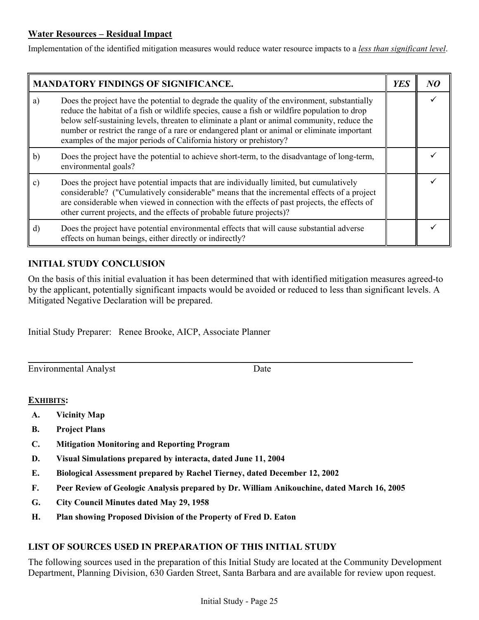## **Water Resources – Residual Impact**

Implementation of the identified mitigation measures would reduce water resource impacts to a *less than significant level*.

| <b>MANDATORY FINDINGS OF SIGNIFICANCE.</b> |                                                                                                                                                                                                                                                                                                                                                                                                                                                                   | <b>YES</b> |  |
|--------------------------------------------|-------------------------------------------------------------------------------------------------------------------------------------------------------------------------------------------------------------------------------------------------------------------------------------------------------------------------------------------------------------------------------------------------------------------------------------------------------------------|------------|--|
| a)                                         | Does the project have the potential to degrade the quality of the environment, substantially<br>reduce the habitat of a fish or wildlife species, cause a fish or wildfire population to drop<br>below self-sustaining levels, threaten to eliminate a plant or animal community, reduce the<br>number or restrict the range of a rare or endangered plant or animal or eliminate important<br>examples of the major periods of California history or prehistory? |            |  |
| b)                                         | Does the project have the potential to achieve short-term, to the disadvantage of long-term,<br>environmental goals?                                                                                                                                                                                                                                                                                                                                              |            |  |
| $\vert c)$                                 | Does the project have potential impacts that are individually limited, but cumulatively<br>considerable? ("Cumulatively considerable" means that the incremental effects of a project<br>are considerable when viewed in connection with the effects of past projects, the effects of<br>other current projects, and the effects of probable future projects)?                                                                                                    |            |  |
| $\mathbf{d}$                               | Does the project have potential environmental effects that will cause substantial adverse<br>effects on human beings, either directly or indirectly?                                                                                                                                                                                                                                                                                                              |            |  |

## **INITIAL STUDY CONCLUSION**

On the basis of this initial evaluation it has been determined that with identified mitigation measures agreed-to by the applicant, potentially significant impacts would be avoided or reduced to less than significant levels. A Mitigated Negative Declaration will be prepared.

Initial Study Preparer: Renee Brooke, AICP, Associate Planner

Environmental Analyst Date

## **EXHIBITS:**

- **A. Vicinity Map**
- **B. Project Plans**
- **C. Mitigation Monitoring and Reporting Program**
- **D. Visual Simulations prepared by interacta, dated June 11, 2004**
- **E. Biological Assessment prepared by Rachel Tierney, dated December 12, 2002**
- **F. Peer Review of Geologic Analysis prepared by Dr. William Anikouchine, dated March 16, 2005**

 $\_$  , and the set of the set of the set of the set of the set of the set of the set of the set of the set of the set of the set of the set of the set of the set of the set of the set of the set of the set of the set of th

- **G. City Council Minutes dated May 29, 1958**
- **H. Plan showing Proposed Division of the Property of Fred D. Eaton**

## **LIST OF SOURCES USED IN PREPARATION OF THIS INITIAL STUDY**

The following sources used in the preparation of this Initial Study are located at the Community Development Department, Planning Division, 630 Garden Street, Santa Barbara and are available for review upon request.